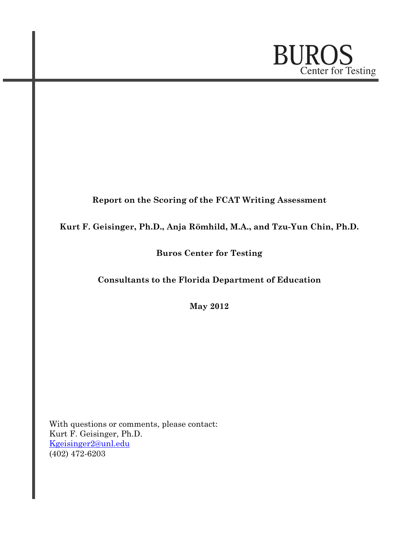

# Report on the Scoring of the FCAT Writing Assessment

## Kurt F. Geisinger, Ph.D., Anja Römhild, M.A., and Tzu-Yun Chin, Ph.D.

## Buros Center for Testing

# Consultants to the Florida Department of Education

May 2012

 With questions or comments, please contact: Kurt F. Geisinger, Ph.D. [Kgeisinger2@unl.edu](mailto:Kgeisinger2@unl.edu)  $(402)$  472-6203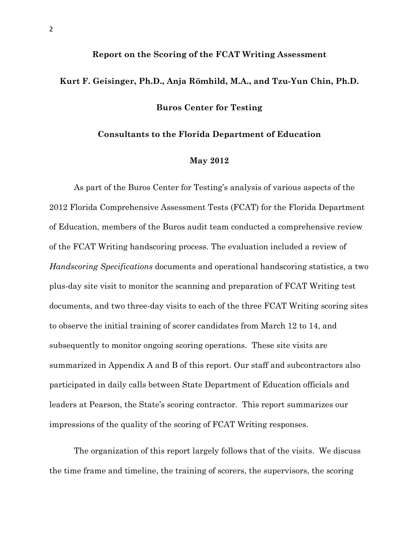# Report on the Scoring of the FCAT Writing Assessment

#### Buros Center for Testing

Kurt F. Geisinger, Ph.D., Anja Römhild, M.A., and Tzu-Yun Chin, Ph.D.

#### Consultants to the Florida Department of Education

#### May 2012

 As part of the Buros Center for Testing's analysis of various aspects of the 2012 Florida Comprehensive Assessment Tests (FCAT) for the Florida Department of Education, members of the Buros audit team conducted a comprehensive review of the FCAT Writing handscoring process. The evaluation included a review of Handscoring Specifications documents and operational handscoring statistics, a two plus-day site visit to monitor the scanning and preparation of FCAT Writing test documents, and two three-day visits to each of the three FCAT Writing scoring sites to observe the initial training of scorer candidates from March 12 to 14, and subsequently to monitor ongoing scoring operations. These site visits are summarized in Appendix A and B of this report. Our staff and subcontractors also participated in daily calls between State Department of Education officials and leaders at Pearson, the State's scoring contractor. This report summarizes our impressions of the quality of the scoring of FCAT Writing responses.

 The organization of this report largely follows that of the visits. We discuss the time frame and timeline, the training of scorers, the supervisors, the scoring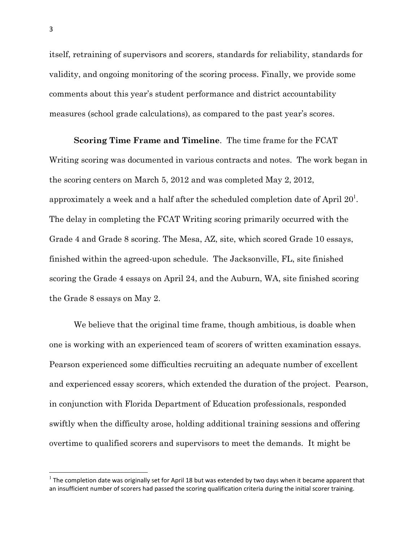itself, retraining of supervisors and scorers, standards for reliability, standards for validity, and ongoing monitoring of the scoring process. Finally, we provide some comments about this year's student performance and district accountability measures (school grade calculations), as compared to the past year's scores.

 Scoring Time Frame and Timeline. The time frame for the FCAT Writing scoring was documented in various contracts and notes. The work began in the scoring centers on March 5, 2012 and was completed May 2, 2012, approximately a week and a half after the scheduled completion date of April  $20^{\rm l}$ . The delay in completing the FCAT Writing scoring primarily occurred with the Grade 4 and Grade 8 scoring. The Mesa, AZ, site, which scored Grade 10 essays, finished within the agreed-upon schedule. The Jacksonville, FL, site finished scoring the Grade 4 essays on April 24, and the Auburn, WA, site finished scoring the Grade 8 essays on May 2.

 We believe that the original time frame, though ambitious, is doable when one is working with an experienced team of scorers of written examination essays. Pearson experienced some difficulties recruiting an adequate number of excellent and experienced essay scorers, which extended the duration of the project. Pearson, in conjunction with Florida Department of Education professionals, responded swiftly when the difficulty arose, holding additional training sessions and offering overtime to qualified scorers and supervisors to meet the demands. It might be

 $\overline{a}$ 

 $1$  The completion date was originally set for April 18 but was extended by two days when it became apparent that an insufficient number of scorers had passed the scoring qualification criteria during the initial scorer training.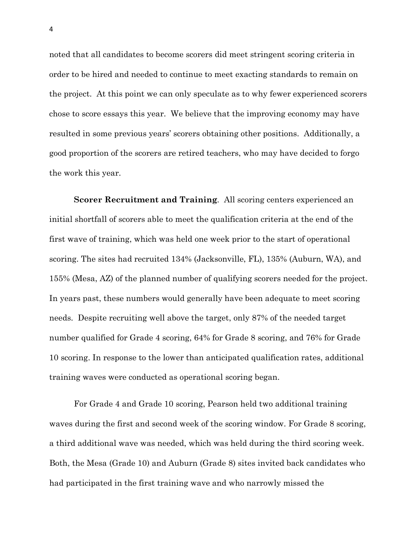noted that all candidates to become scorers did meet stringent scoring criteria in order to be hired and needed to continue to meet exacting standards to remain on the project. At this point we can only speculate as to why fewer experienced scorers chose to score essays this year. We believe that the improving economy may have resulted in some previous years' scorers obtaining other positions. Additionally, a good proportion of the scorers are retired teachers, who may have decided to forgo the work this year.

Scorer Recruitment and Training. All scoring centers experienced an initial shortfall of scorers able to meet the qualification criteria at the end of the first wave of training, which was held one week prior to the start of operational scoring. The sites had recruited 134% (Jacksonville, FL), 135% (Auburn, WA), and 155% (Mesa, AZ) of the planned number of qualifying scorers needed for the project. In years past, these numbers would generally have been adequate to meet scoring needs. Despite recruiting well above the target, only 87% of the needed target number qualified for Grade 4 scoring, 64% for Grade 8 scoring, and 76% for Grade 10 scoring. In response to the lower than anticipated qualification rates, additional training waves were conducted as operational scoring began.

 For Grade 4 and Grade 10 scoring, Pearson held two additional training waves during the first and second week of the scoring window. For Grade 8 scoring, a third additional wave was needed, which was held during the third scoring week. Both, the Mesa (Grade 10) and Auburn (Grade 8) sites invited back candidates who had participated in the first training wave and who narrowly missed the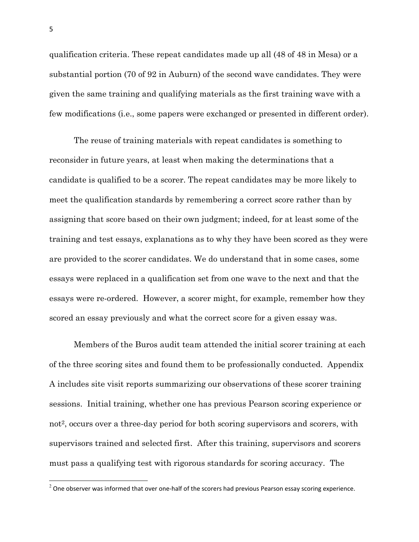qualification criteria. These repeat candidates made up all (48 of 48 in Mesa) or a substantial portion (70 of 92 in Auburn) of the second wave candidates. They were given the same training and qualifying materials as the first training wave with a few modifications (i.e., some papers were exchanged or presented in different order).

 The reuse of training materials with repeat candidates is something to reconsider in future years, at least when making the determinations that a candidate is qualified to be a scorer. The repeat candidates may be more likely to meet the qualification standards by remembering a correct score rather than by assigning that score based on their own judgment; indeed, for at least some of the training and test essays, explanations as to why they have been scored as they were are provided to the scorer candidates. We do understand that in some cases, some essays were replaced in a qualification set from one wave to the next and that the essays were re-ordered. However, a scorer might, for example, remember how they scored an essay previously and what the correct score for a given essay was.

 Members of the Buros audit team attended the initial scorer training at each of the three scoring sites and found them to be professionally conducted. Appendix A includes site visit reports summarizing our observations of these scorer training sessions. Initial training, whether one has previous Pearson scoring experience or not<sup>2</sup>, occurs over a three-day period for both scoring supervisors and scorers, with supervisors trained and selected first. After this training, supervisors and scorers must pass a qualifying test with rigorous standards for scoring accuracy. The

l.

 $^2$  One observer was informed that over one-half of the scorers had previous Pearson essay scoring experience.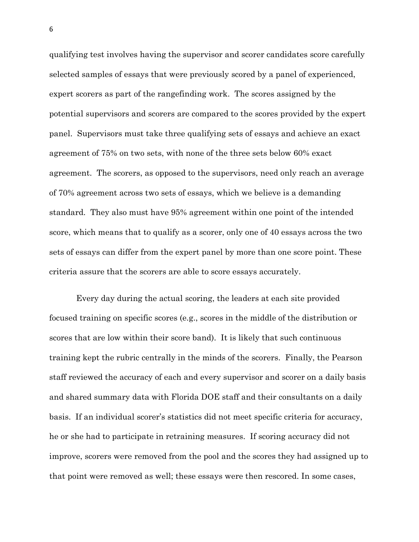qualifying test involves having the supervisor and scorer candidates score carefully selected samples of essays that were previously scored by a panel of experienced, expert scorers as part of the rangefinding work. The scores assigned by the potential supervisors and scorers are compared to the scores provided by the expert panel. Supervisors must take three qualifying sets of essays and achieve an exact agreement of 75% on two sets, with none of the three sets below 60% exact agreement. The scorers, as opposed to the supervisors, need only reach an average of 70% agreement across two sets of essays, which we believe is a demanding standard. They also must have 95% agreement within one point of the intended score, which means that to qualify as a scorer, only one of 40 essays across the two sets of essays can differ from the expert panel by more than one score point. These criteria assure that the scorers are able to score essays accurately.

 Every day during the actual scoring, the leaders at each site provided focused training on specific scores (e.g., scores in the middle of the distribution or scores that are low within their score band). It is likely that such continuous training kept the rubric centrally in the minds of the scorers. Finally, the Pearson staff reviewed the accuracy of each and every supervisor and scorer on a daily basis and shared summary data with Florida DOE staff and their consultants on a daily basis. If an individual scorer's statistics did not meet specific criteria for accuracy, he or she had to participate in retraining measures. If scoring accuracy did not improve, scorers were removed from the pool and the scores they had assigned up to that point were removed as well; these essays were then rescored. In some cases,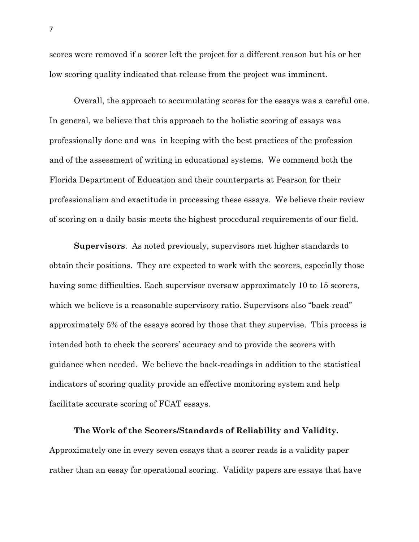scores were removed if a scorer left the project for a different reason but his or her low scoring quality indicated that release from the project was imminent.

 Overall, the approach to accumulating scores for the essays was a careful one. In general, we believe that this approach to the holistic scoring of essays was professionally done and was in keeping with the best practices of the profession and of the assessment of writing in educational systems. We commend both the Florida Department of Education and their counterparts at Pearson for their professionalism and exactitude in processing these essays. We believe their review of scoring on a daily basis meets the highest procedural requirements of our field.

Supervisors. As noted previously, supervisors met higher standards to obtain their positions. They are expected to work with the scorers, especially those having some difficulties. Each supervisor oversaw approximately 10 to 15 scorers, which we believe is a reasonable supervisory ratio. Supervisors also "back-read" approximately 5% of the essays scored by those that they supervise. This process is intended both to check the scorers' accuracy and to provide the scorers with guidance when needed. We believe the back-readings in addition to the statistical indicators of scoring quality provide an effective monitoring system and help facilitate accurate scoring of FCAT essays.

#### The Work of the Scorers/Standards of Reliability and Validity.

 Approximately one in every seven essays that a scorer reads is a validity paper rather than an essay for operational scoring. Validity papers are essays that have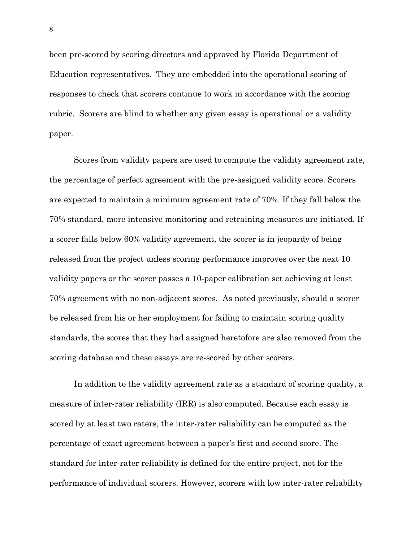been pre-scored by scoring directors and approved by Florida Department of Education representatives. They are embedded into the operational scoring of responses to check that scorers continue to work in accordance with the scoring rubric. Scorers are blind to whether any given essay is operational or a validity paper.

 Scores from validity papers are used to compute the validity agreement rate, the percentage of perfect agreement with the pre-assigned validity score. Scorers are expected to maintain a minimum agreement rate of 70%. If they fall below the 70% standard, more intensive monitoring and retraining measures are initiated. If a scorer falls below 60% validity agreement, the scorer is in jeopardy of being released from the project unless scoring performance improves over the next 10 validity papers or the scorer passes a 10-paper calibration set achieving at least 70% agreement with no non-adjacent scores. As noted previously, should a scorer be released from his or her employment for failing to maintain scoring quality standards, the scores that they had assigned heretofore are also removed from the scoring database and these essays are re-scored by other scorers.

 In addition to the validity agreement rate as a standard of scoring quality, a measure of inter-rater reliability (IRR) is also computed. Because each essay is scored by at least two raters, the inter-rater reliability can be computed as the percentage of exact agreement between a paper's first and second score. The standard for inter-rater reliability is defined for the entire project, not for the performance of individual scorers. However, scorers with low inter-rater reliability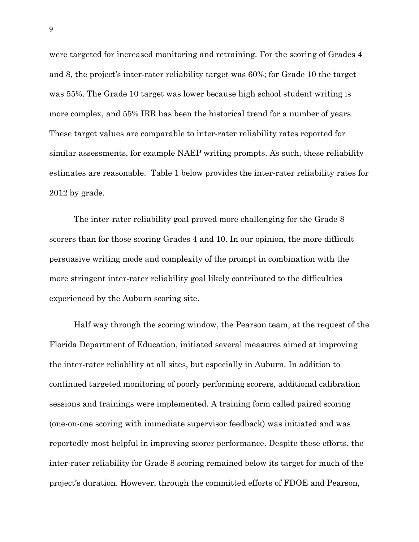were targeted for increased monitoring and retraining. For the scoring of Grades 4 and 8, the project's inter-rater reliability target was 60%; for Grade 10 the target was 55%. The Grade 10 target was lower because high school student writing is more complex, and 55% IRR has been the historical trend for a number of years. These target values are comparable to inter-rater reliability rates reported for similar assessments, for example NAEP writing prompts. As such, these reliability estimates are reasonable. Table 1 below provides the inter-rater reliability rates for 2012 by grade.

The inter-rater reliability goal proved more challenging for the Grade 8 scorers than for those scoring Grades 4 and 10. In our opinion, the more difficult persuasive writing mode and complexity of the prompt in combination with the more stringent inter-rater reliability goal likely contributed to the difficulties experienced by the Auburn scoring site.

 Half way through the scoring window, the Pearson team, at the request of the Florida Department of Education, initiated several measures aimed at improving the inter-rater reliability at all sites, but especially in Auburn. In addition to continued targeted monitoring of poorly performing scorers, additional calibration sessions and trainings were implemented. A training form called paired scoring (one-on-one scoring with immediate supervisor feedback) was initiated and was reportedly most helpful in improving scorer performance. Despite these efforts, the inter-rater reliability for Grade 8 scoring remained below its target for much of the project's duration. However, through the committed efforts of FDOE and Pearson,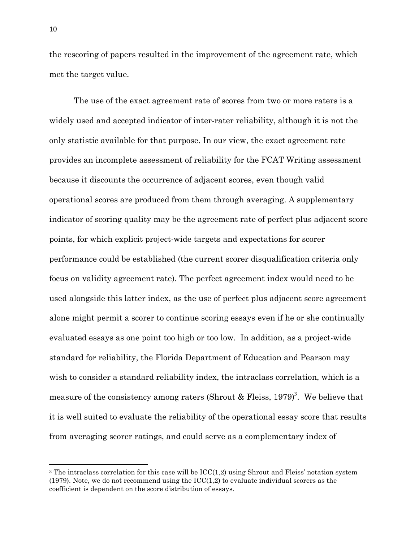the rescoring of papers resulted in the improvement of the agreement rate, which met the target value.

 The use of the exact agreement rate of scores from two or more raters is a widely used and accepted indicator of inter-rater reliability, although it is not the only statistic available for that purpose. In our view, the exact agreement rate provides an incomplete assessment of reliability for the FCAT Writing assessment because it discounts the occurrence of adjacent scores, even though valid operational scores are produced from them through averaging. A supplementary indicator of scoring quality may be the agreement rate of perfect plus adjacent score points, for which explicit project-wide targets and expectations for scorer performance could be established (the current scorer disqualification criteria only focus on validity agreement rate). The perfect agreement index would need to be used alongside this latter index, as the use of perfect plus adjacent score agreement alone might permit a scorer to continue scoring essays even if he or she continually evaluated essays as one point too high or too low. In addition, as a project-wide standard for reliability, the Florida Department of Education and Pearson may wish to consider a standard reliability index, the intraclass correlation, which is a measure of the consistency among raters (Shrout & Fleiss, 1979)<sup>3</sup>. We believe that it is well suited to evaluate the reliability of the operational essay score that results from averaging scorer ratings, and could serve as a complementary index of

 $\overline{a}$ 

<sup>&</sup>lt;sup>3</sup> The intraclass correlation for this case will be  $\text{ICC}(1,2)$  using Shrout and Fleiss' notation system  $(1979)$ . Note, we do not recommend using the  $\text{ICC}(1,2)$  to evaluate individual scorers as the coefficient is dependent on the score distribution of essays.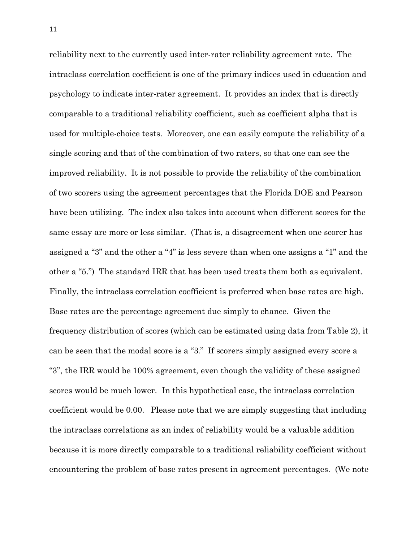reliability next to the currently used inter-rater reliability agreement rate. The intraclass correlation coefficient is one of the primary indices used in education and psychology to indicate inter-rater agreement. It provides an index that is directly comparable to a traditional reliability coefficient, such as coefficient alpha that is used for multiple-choice tests. Moreover, one can easily compute the reliability of a single scoring and that of the combination of two raters, so that one can see the improved reliability. It is not possible to provide the reliability of the combination of two scorers using the agreement percentages that the Florida DOE and Pearson have been utilizing. The index also takes into account when different scores for the same essay are more or less similar. (That is, a disagreement when one scorer has assigned a "3" and the other a "4" is less severe than when one assigns a "1" and the other a "5.") The standard IRR that has been used treats them both as equivalent. Finally, the intraclass correlation coefficient is preferred when base rates are high. Base rates are the percentage agreement due simply to chance. Given the frequency distribution of scores (which can be estimated using data from Table 2), it can be seen that the modal score is a "3." If scorers simply assigned every score a "3", the IRR would be 100% agreement, even though the validity of these assigned scores would be much lower. In this hypothetical case, the intraclass correlation coefficient would be 0.00. Please note that we are simply suggesting that including the intraclass correlations as an index of reliability would be a valuable addition because it is more directly comparable to a traditional reliability coefficient without encountering the problem of base rates present in agreement percentages. (We note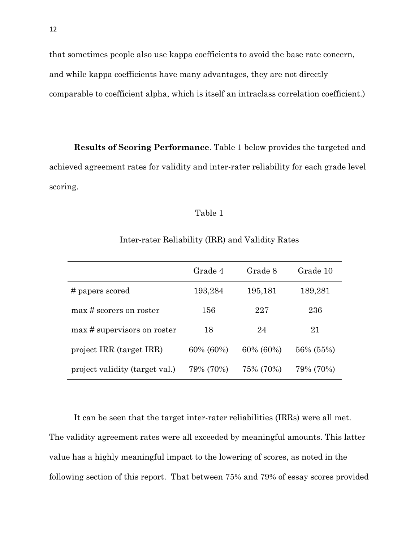that sometimes people also use kappa coefficients to avoid the base rate concern, and while kappa coefficients have many advantages, they are not directly comparable to coefficient alpha, which is itself an intraclass correlation coefficient.)

 Results of Scoring Performance. Table 1 below provides the targeted and achieved agreement rates for validity and inter-rater reliability for each grade level scoring.

#### Table 1

|                                | Grade 4   | Grade 8   | Grade 10  |
|--------------------------------|-----------|-----------|-----------|
| # papers scored                | 193,284   | 195,181   | 189,281   |
| max # scorers on roster        | 156       | 227       | 236       |
| max # supervisors on roster    | 18        | 24        | 21        |
| project IRR (target IRR)       | 60% (60%) | 60% (60%) | 56% (55%) |
| project validity (target val.) | 79% (70%) | 75% (70%) | 79% (70%) |

Inter-rater Reliability (IRR) and Validity Rates

It can be seen that the target inter-rater reliabilities (IRRs) were all met. The validity agreement rates were all exceeded by meaningful amounts. This latter value has a highly meaningful impact to the lowering of scores, as noted in the following section of this report. That between 75% and 79% of essay scores provided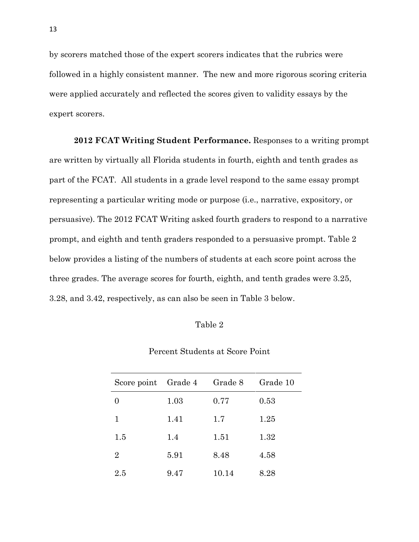by scorers matched those of the expert scorers indicates that the rubrics were followed in a highly consistent manner. The new and more rigorous scoring criteria were applied accurately and reflected the scores given to validity essays by the expert scorers.

2012 FCAT Writing Student Performance. Responses to a writing prompt are written by virtually all Florida students in fourth, eighth and tenth grades as part of the FCAT. All students in a grade level respond to the same essay prompt representing a particular writing mode or purpose (i.e., narrative, expository, or persuasive). The 2012 FCAT Writing asked fourth graders to respond to a narrative prompt, and eighth and tenth graders responded to a persuasive prompt. Table 2 below provides a listing of the numbers of students at each score point across the three grades. The average scores for fourth, eighth, and tenth grades were 3.25, 3.28, and 3.42, respectively, as can also be seen in Table 3 below.

| anle |
|------|
|------|

| Score point Grade 4 |      | Grade 8 | Grade 10 |
|---------------------|------|---------|----------|
| $\Omega$            | 1.03 | 0.77    | 0.53     |
| 1                   | 1.41 | 1.7     | 1.25     |
| 1.5                 | 1.4  | 1.51    | 1.32     |
| 2                   | 5.91 | 8.48    | 4.58     |
| 2.5                 | 9.47 | 10.14   | 8.28     |

Percent Students at Score Point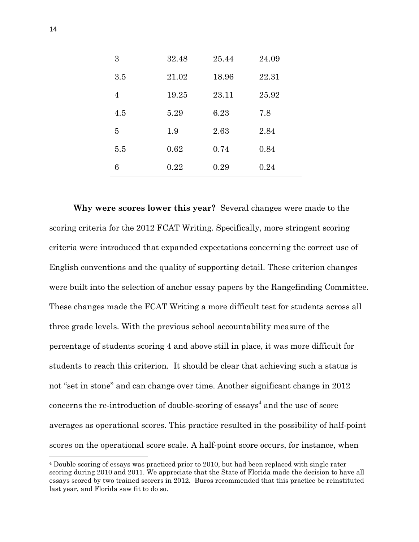| 3   | 32.48 | 25.44 | 24.09 |
|-----|-------|-------|-------|
| 3.5 | 21.02 | 18.96 | 22.31 |
| 4   | 19.25 | 23.11 | 25.92 |
| 4.5 | 5.29  | 6.23  | 7.8   |
| 5   | 1.9   | 2.63  | 2.84  |
| 5.5 | 0.62  | 0.74  | 0.84  |
| 6   | 0.22  | 0.29  | 0.24  |

 Why were scores lower this year? Several changes were made to the scoring criteria for the 2012 FCAT Writing. Specifically, more stringent scoring criteria were introduced that expanded expectations concerning the correct use of English conventions and the quality of supporting detail. These criterion changes were built into the selection of anchor essay papers by the Rangefinding Committee. These changes made the FCAT Writing a more difficult test for students across all three grade levels. With the previous school accountability measure of the percentage of students scoring 4 and above still in place, it was more difficult for students to reach this criterion. It should be clear that achieving such a status is not "set in stone" and can change over time. Another significant change in 2012 concerns the re-introduction of double-scoring of essays<sup>4</sup> and the use of score averages as operational scores. This practice resulted in the possibility of half-point scores on the operational score scale. A half-point score occurs, for instance, when

 $\overline{a}$ 

 <sup>4</sup> Double scoring of essays was practiced prior to 2010, but had been replaced with single rater scoring during 2010 and 2011. We appreciate that the State of Florida made the decision to have all essays scored by two trained scorers in 2012. Buros recommended that this practice be reinstituted last year, and Florida saw fit to do so.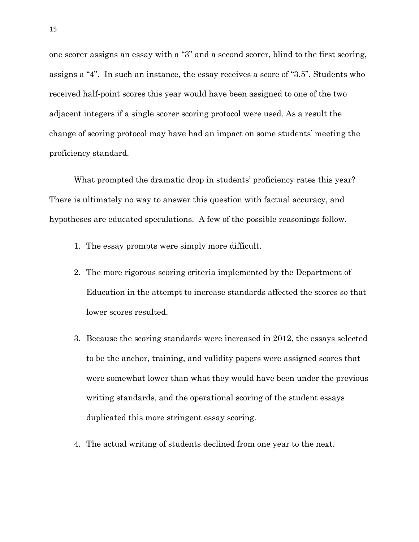one scorer assigns an essay with a "3" and a second scorer, blind to the first scoring, assigns a "4". In such an instance, the essay receives a score of "3.5". Students who received half-point scores this year would have been assigned to one of the two adjacent integers if a single scorer scoring protocol were used. As a result the change of scoring protocol may have had an impact on some students' meeting the proficiency standard.

 What prompted the dramatic drop in students' proficiency rates this year? There is ultimately no way to answer this question with factual accuracy, and hypotheses are educated speculations. A few of the possible reasonings follow.

- 1. The essay prompts were simply more difficult.
- 2. The more rigorous scoring criteria implemented by the Department of Education in the attempt to increase standards affected the scores so that lower scores resulted.
- 3. Because the scoring standards were increased in 2012, the essays selected to be the anchor, training, and validity papers were assigned scores that were somewhat lower than what they would have been under the previous writing standards, and the operational scoring of the student essays duplicated this more stringent essay scoring.
- 4. The actual writing of students declined from one year to the next.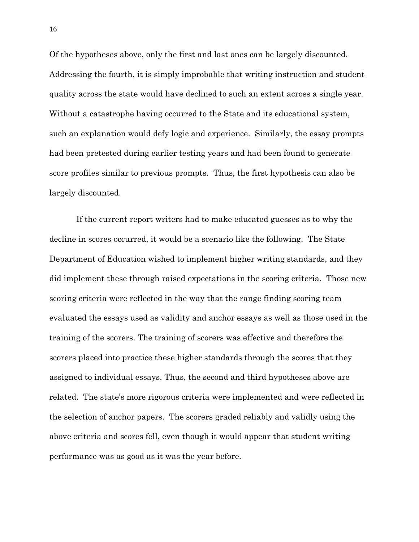Of the hypotheses above, only the first and last ones can be largely discounted. Addressing the fourth, it is simply improbable that writing instruction and student quality across the state would have declined to such an extent across a single year. Without a catastrophe having occurred to the State and its educational system, such an explanation would defy logic and experience. Similarly, the essay prompts had been pretested during earlier testing years and had been found to generate score profiles similar to previous prompts. Thus, the first hypothesis can also be largely discounted.

 If the current report writers had to make educated guesses as to why the decline in scores occurred, it would be a scenario like the following. The State Department of Education wished to implement higher writing standards, and they did implement these through raised expectations in the scoring criteria. Those new scoring criteria were reflected in the way that the range finding scoring team evaluated the essays used as validity and anchor essays as well as those used in the training of the scorers. The training of scorers was effective and therefore the scorers placed into practice these higher standards through the scores that they assigned to individual essays. Thus, the second and third hypotheses above are related. The state's more rigorous criteria were implemented and were reflected in the selection of anchor papers. The scorers graded reliably and validly using the above criteria and scores fell, even though it would appear that student writing performance was as good as it was the year before.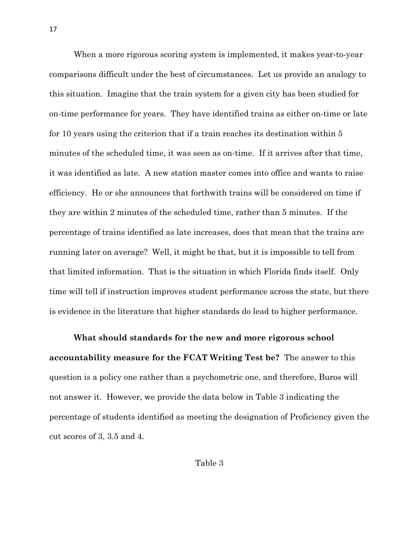When a more rigorous scoring system is implemented, it makes year-to-year comparisons difficult under the best of circumstances. Let us provide an analogy to this situation. Imagine that the train system for a given city has been studied for on-time performance for years. They have identified trains as either on-time or late for 10 years using the criterion that if a train reaches its destination within 5 minutes of the scheduled time, it was seen as on-time. If it arrives after that time, it was identified as late. A new station master comes into office and wants to raise efficiency. He or she announces that forthwith trains will be considered on time if they are within 2 minutes of the scheduled time, rather than 5 minutes. If the percentage of trains identified as late increases, does that mean that the trains are running later on average? Well, it might be that, but it is impossible to tell from that limited information. That is the situation in which Florida finds itself. Only time will tell if instruction improves student performance across the state, but there is evidence in the literature that higher standards do lead to higher performance.

 What should standards for the new and more rigorous school accountability measure for the FCAT Writing Test be? The answer to this question is a policy one rather than a psychometric one, and therefore, Buros will not answer it. However, we provide the data below in Table 3 indicating the percentage of students identified as meeting the designation of Proficiency given the cut scores of 3, 3.5 and 4.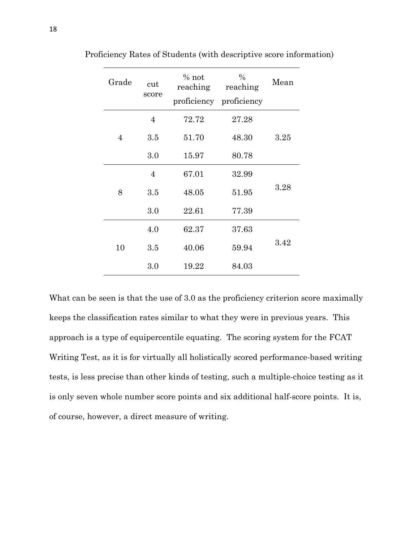| Grade          | cut            | $%$ not<br>reaching | $\%$<br>reaching        | Mean |
|----------------|----------------|---------------------|-------------------------|------|
|                | score          |                     | proficiency proficiency |      |
| $\overline{4}$ | $\overline{4}$ | 72.72               | 27.28                   |      |
|                | 3.5            | 51.70               | 48.30                   | 3.25 |
|                | 3.0            | 15.97               | 80.78                   |      |
| 8              | $\overline{4}$ | 67.01               | 32.99                   |      |
|                | 3.5            | 48.05               | 51.95                   | 3.28 |
|                | 3.0            | 22.61               | 77.39                   |      |
| 10             | 4.0            | 62.37               | 37.63                   |      |
|                | 3.5            | 40.06               | 59.94                   | 3.42 |
|                | 3.0            | 19.22               | 84.03                   |      |

Proficiency Rates of Students (with descriptive score information)

 What can be seen is that the use of 3.0 as the proficiency criterion score maximally keeps the classification rates similar to what they were in previous years. This approach is a type of equipercentile equating. The scoring system for the FCAT Writing Test, as it is for virtually all holistically scored performance-based writing tests, is less precise than other kinds of testing, such a multiplechoice testing as it is only seven whole number score points and six additional half-score points. It is, of course, however, a direct measure of writing.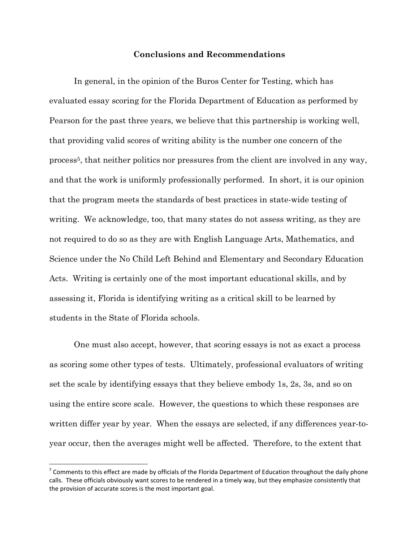#### Conclusions and Recommendations

 In general, in the opinion of the Buros Center for Testing, which has evaluated essay scoring for the Florida Department of Education as performed by Pearson for the past three years, we believe that this partnership is working well, that providing valid scores of writing ability is the number one concern of the process<sup>5</sup>, that neither politics nor pressures from the client are involved in any way, and that the work is uniformly professionally performed. In short, it is our opinion that the program meets the standards of best practices in state-wide testing of writing. We acknowledge, too, that many states do not assess writing, as they are not required to do so as they are with English Language Arts, Mathematics, and Science under the No Child Left Behind and Elementary and Secondary Education Acts. Writing is certainly one of the most important educational skills, and by assessing it, Florida is identifying writing as a critical skill to be learned by students in the State of Florida schools.

 One must also accept, however, that scoring essays is not as exact a process as scoring some other types of tests. Ultimately, professional evaluators of writing set the scale by identifying essays that they believe embody 1s, 2s, 3s, and so on using the entire score scale. However, the questions to which these responses are written differ year by year. When the essays are selected, if any differences year-to-year occur, then the averages might well be affected. Therefore, to the extent that

l.

 $<sup>5</sup>$  Comments to this effect are made by officials of the Florida Department of Education throughout the daily phone</sup> calls. These officials obviously want scores to be rendered in a timely way, but they emphasize consistently that the provision of accurate scores is the most important goal.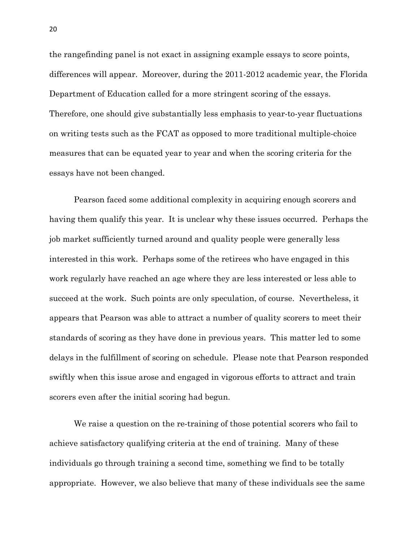the rangefinding panel is not exact in assigning example essays to score points, differences will appear. Moreover, during the 2011-2012 academic year, the Florida Department of Education called for a more stringent scoring of the essays. Therefore, one should give substantially less emphasis to year-to-year fluctuations on writing tests such as the FCAT as opposed to more traditional multiplechoice measures that can be equated year to year and when the scoring criteria for the essays have not been changed.

 Pearson faced some additional complexity in acquiring enough scorers and having them qualify this year. It is unclear why these issues occurred. Perhaps the job market sufficiently turned around and quality people were generally less interested in this work. Perhaps some of the retirees who have engaged in this work regularly have reached an age where they are less interested or less able to succeed at the work. Such points are only speculation, of course. Nevertheless, it appears that Pearson was able to attract a number of quality scorers to meet their standards of scoring as they have done in previous years. This matter led to some delays in the fulfillment of scoring on schedule. Please note that Pearson responded swiftly when this issue arose and engaged in vigorous efforts to attract and train scorers even after the initial scoring had begun.

We raise a question on the re-training of those potential scorers who fail to achieve satisfactory qualifying criteria at the end of training. Many of these individuals go through training a second time, something we find to be totally appropriate. However, we also believe that many of these individuals see the same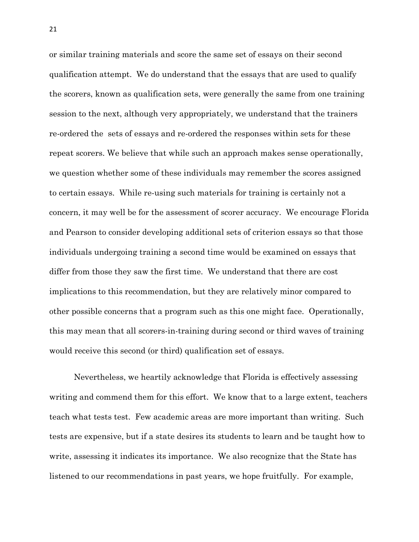or similar training materials and score the same set of essays on their second qualification attempt. We do understand that the essays that are used to qualify the scorers, known as qualification sets, were generally the same from one training session to the next, although very appropriately, we understand that the trainers re-ordered the sets of essays and re-ordered the responses within sets for these repeat scorers. We believe that while such an approach makes sense operationally, we question whether some of these individuals may remember the scores assigned to certain essays. While re-using such materials for training is certainly not a concern, it may well be for the assessment of scorer accuracy. We encourage Florida and Pearson to consider developing additional sets of criterion essays so that those individuals undergoing training a second time would be examined on essays that differ from those they saw the first time. We understand that there are cost implications to this recommendation, but they are relatively minor compared to other possible concerns that a program such as this one might face. Operationally, this may mean that all scorers-in-training during second or third waves of training would receive this second (or third) qualification set of essays.

 Nevertheless, we heartily acknowledge that Florida is effectively assessing writing and commend them for this effort. We know that to a large extent, teachers teach what tests test. Few academic areas are more important than writing. Such tests are expensive, but if a state desires its students to learn and be taught how to write, assessing it indicates its importance. We also recognize that the State has listened to our recommendations in past years, we hope fruitfully. For example,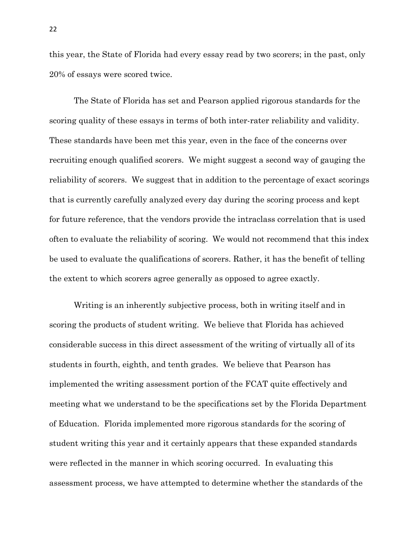this year, the State of Florida had every essay read by two scorers; in the past, only 20% of essays were scored twice.

 The State of Florida has set and Pearson applied rigorous standards for the scoring quality of these essays in terms of both inter-rater reliability and validity. These standards have been met this year, even in the face of the concerns over recruiting enough qualified scorers. We might suggest a second way of gauging the reliability of scorers. We suggest that in addition to the percentage of exact scorings that is currently carefully analyzed every day during the scoring process and kept for future reference, that the vendors provide the intraclass correlation that is used often to evaluate the reliability of scoring. We would not recommend that this index be used to evaluate the qualifications of scorers. Rather, it has the benefit of telling the extent to which scorers agree generally as opposed to agree exactly.

 Writing is an inherently subjective process, both in writing itself and in scoring the products of student writing. We believe that Florida has achieved considerable success in this direct assessment of the writing of virtually all of its students in fourth, eighth, and tenth grades. We believe that Pearson has implemented the writing assessment portion of the FCAT quite effectively and meeting what we understand to be the specifications set by the Florida Department of Education. Florida implemented more rigorous standards for the scoring of student writing this year and it certainly appears that these expanded standards were reflected in the manner in which scoring occurred. In evaluating this assessment process, we have attempted to determine whether the standards of the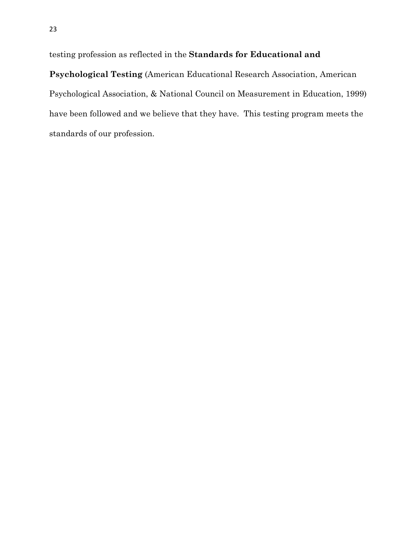testing profession as reflected in the Standards for Educational and

 Psychological Testing (American Educational Research Association, American Psychological Association, & National Council on Measurement in Education, 1999) have been followed and we believe that they have. This testing program meets the standards of our profession.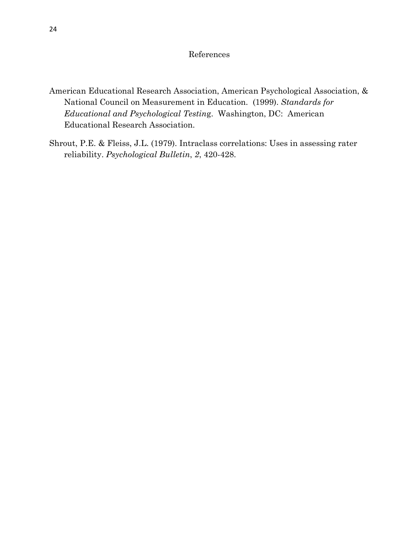#### References

- American Educational Research Association, American Psychological Association, & National Council on Measurement in Education. (1999). Standards for Educational and Psychological Testing. Washington, DC: American Educational Research Association.
- Shrout, P.E. & Fleiss, J.L. (1979). Intraclass correlations: Uses in assessing rater reliability. Psychological Bulletin, 2, 420-428.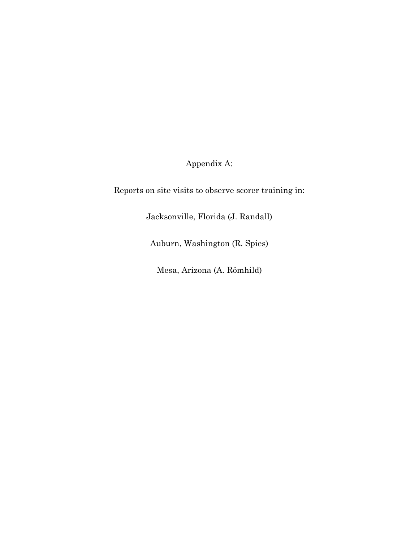Appendix A:

Reports on site visits to observe scorer training in:

Jacksonville, Florida (J. Randall)

Auburn, Washington (R. Spies)

Mesa, Arizona (A. Römhild)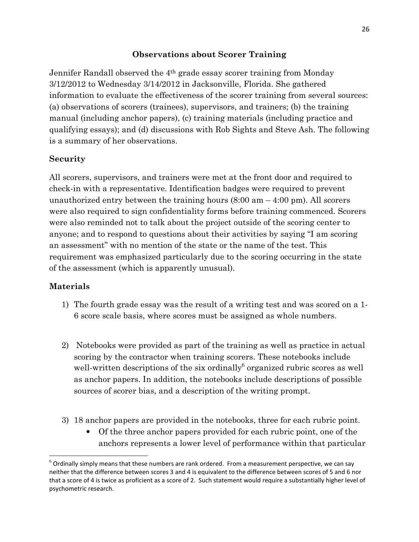# Observations about Scorer Training

 Jennifer Randall observed the 4th grade essay scorer training from Monday 3/12/2012 to Wednesday 3/14/2012 in Jacksonville, Florida. She gathered information to evaluate the effectiveness of the scorer training from several sources: (a) observations of scorers (trainees), supervisors, and trainers; (b) the training manual (including anchor papers), (c) training materials (including practice and qualifying essays); and (d) discussions with Rob Sights and Steve Ash. The following is a summary of her observations.

# Security

 All scorers, supervisors, and trainers were met at the front door and required to check-in with a representative. Identification badges were required to prevent unauthorized entry between the training hours  $(8:00 \text{ am} - 4:00 \text{ pm})$ . All scorers were also required to sign confidentiality forms before training commenced. Scorers were also reminded not to talk about the project outside of the scoring center to anyone; and to respond to questions about their activities by saying "I am scoring an assessment" with no mention of the state or the name of the test. This requirement was emphasized particularly due to the scoring occurring in the state of the assessment (which is apparently unusual).

# Materials

 $\overline{a}$ 

- 1) The fourth grade essay was the result of a writing test and was scored on a 1-6 score scale basis, where scores must be assigned as whole numbers.
- 2) Notebooks were provided as part of the training as well as practice in actual scoring by the contractor when training scorers. These notebooks include well-written descriptions of the six ordinally<sup>6</sup> organized rubric scores as well as anchor papers. In addition, the notebooks include descriptions of possible sources of scorer bias, and a description of the writing prompt.
- 3) 18 anchor papers are provided in the notebooks, three for each rubric point.
	- • Of the three anchor papers provided for each rubric point, one of the anchors represents a lower level of performance within that particular

 $^6$  Ordinally simply means that these numbers are rank ordered. From a measurement perspective, we can say neither that the difference between scores 3 and 4 is equivalent to the difference between scores of 5 and 6 nor that a score of 4 is twice as proficient as a score of 2. Such statement would require a substantially higher level of psychometric research.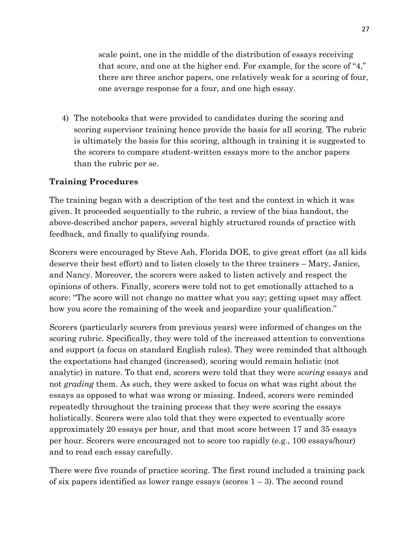scale point, one in the middle of the distribution of essays receiving that score, and one at the higher end. For example, for the score of "4," there are three anchor papers, one relatively weak for a scoring of four, one average response for a four, and one high essay.

4) The notebooks that were provided to candidates during the scoring and scoring supervisor training hence provide the basis for all scoring. The rubric is ultimately the basis for this scoring, although in training it is suggested to the scorers to compare student-written essays more to the anchor papers than the rubric per se.

## Training Procedures

 The training began with a description of the test and the context in which it was given. It proceeded sequentially to the rubric, a review of the bias handout, the above-described anchor papers, several highly structured rounds of practice with feedback, and finally to qualifying rounds.

 Scorers were encouraged by Steve Ash, Florida DOE, to give great effort (as all kids deserve their best effort) and to listen closely to the three trainers – Mary, Janice, and Nancy. Moreover, the scorers were asked to listen actively and respect the opinions of others. Finally, scorers were told not to get emotionally attached to a score: "The score will not change no matter what you say; getting upset may affect how you score the remaining of the week and jeopardize your qualification."

 Scorers (particularly scorers from previous years) were informed of changes on the scoring rubric. Specifically, they were told of the increased attention to conventions and support (a focus on standard English rules). They were reminded that although the expectations had changed (increased), scoring would remain holistic (not analytic) in nature. To that end, scorers were told that they were *scoring* essays and not grading them. As such, they were asked to focus on what was right about the essays as opposed to what was wrong or missing. Indeed, scorers were reminded repeatedly throughout the training process that they were scoring the essays holistically. Scorers were also told that they were expected to eventually score approximately 20 essays per hour, and that most score between 17 and 35 essays per hour. Scorers were encouraged not to score too rapidly (e.g., 100 essays/hour) and to read each essay carefully.

 There were five rounds of practice scoring. The first round included a training pack of six papers identified as lower range essays (scores 1 – 3). The second round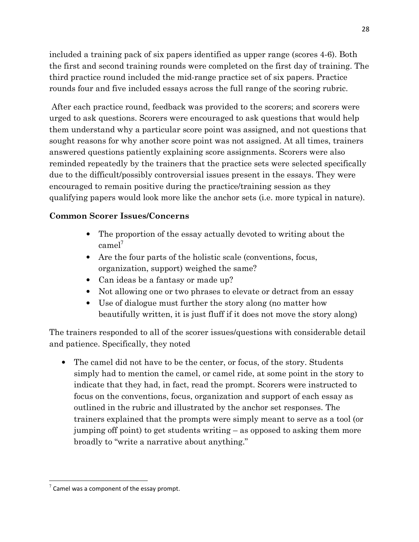included a training pack of six papers identified as upper range (scores 4-6). Both the first and second training rounds were completed on the first day of training. The third practice round included the mid-range practice set of six papers. Practice rounds four and five included essays across the full range of the scoring rubric.

 After each practice round, feedback was provided to the scorers; and scorers were urged to ask questions. Scorers were encouraged to ask questions that would help them understand why a particular score point was assigned, and not questions that sought reasons for why another score point was not assigned. At all times, trainers answered questions patiently explaining score assignments. Scorers were also reminded repeatedly by the trainers that the practice sets were selected specifically due to the difficult/possibly controversial issues present in the essays. They were encouraged to remain positive during the practice/training session as they qualifying papers would look more like the anchor sets (i.e. more typical in nature).

# Common Scorer Issues/Concerns

- • The proportion of the essay actually devoted to writing about the  $camel<sup>7</sup>$
- • Are the four parts of the holistic scale (conventions, focus, organization, support) weighed the same?
- • Can ideas be a fantasy or made up?
- • Not allowing one or two phrases to elevate or detract from an essay
- • Use of dialogue must further the story along (no matter how beautifully written, it is just fluff if it does not move the story along)

 The trainers responded to all of the scorer issues/questions with considerable detail and patience. Specifically, they noted

 • The camel did not have to be the center, or focus, of the story. Students simply had to mention the camel, or camel ride, at some point in the story to indicate that they had, in fact, read the prompt. Scorers were instructed to focus on the conventions, focus, organization and support of each essay as outlined in the rubric and illustrated by the anchor set responses. The trainers explained that the prompts were simply meant to serve as a tool (or jumping off point) to get students writing – as opposed to asking them more broadly to "write a narrative about anything."

l.

 $7$  Camel was a component of the essay prompt.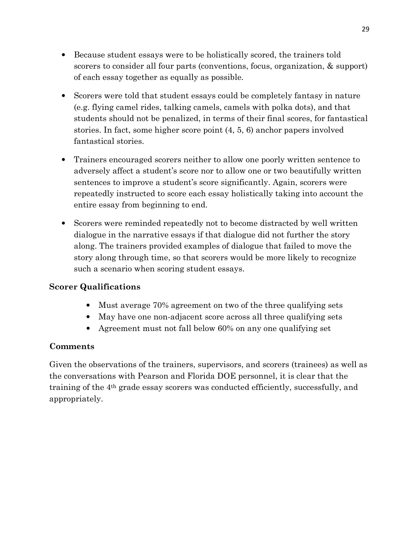- • Because student essays were to be holistically scored, the trainers told scorers to consider all four parts (conventions, focus, organization, & support) of each essay together as equally as possible.
- • Scorers were told that student essays could be completely fantasy in nature (e.g. flying camel rides, talking camels, camels with polka dots), and that students should not be penalized, in terms of their final scores, for fantastical stories. In fact, some higher score point (4, 5, 6) anchor papers involved fantastical stories.
- • Trainers encouraged scorers neither to allow one poorly written sentence to adversely affect a student's score nor to allow one or two beautifully written sentences to improve a student's score significantly. Again, scorers were repeatedly instructed to score each essay holistically taking into account the entire essay from beginning to end.
- • Scorers were reminded repeatedly not to become distracted by well written dialogue in the narrative essays if that dialogue did not further the story along. The trainers provided examples of dialogue that failed to move the story along through time, so that scorers would be more likely to recognize such a scenario when scoring student essays.

# Scorer Qualifications

- Must average 70% agreement on two of the three qualifying sets
- May have one non-adjacent score across all three qualifying sets
- Agreement must not fall below 60% on any one qualifying set

# Comments

 Given the observations of the trainers, supervisors, and scorers (trainees) as well as the conversations with Pearson and Florida DOE personnel, it is clear that the training of the 4th grade essay scorers was conducted efficiently, successfully, and appropriately.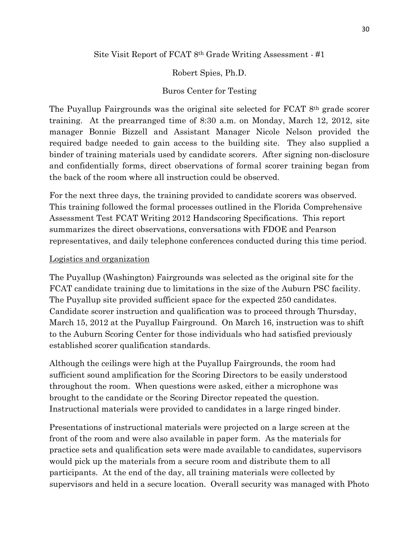## Site Visit Report of FCAT 8<sup>th</sup> Grade Writing Assessment - #1

# Robert Spies, Ph.D.

# Buros Center for Testing

 The Puyallup Fairgrounds was the original site selected for FCAT 8th grade scorer training. At the prearranged time of 8:30 a.m. on Monday, March 12, 2012, site manager Bonnie Bizzell and Assistant Manager Nicole Nelson provided the required badge needed to gain access to the building site. They also supplied a binder of training materials used by candidate scorers. After signing non-disclosure and confidentially forms, direct observations of formal scorer training began from the back of the room where all instruction could be observed.

 For the next three days, the training provided to candidate scorers was observed. This training followed the formal processes outlined in the Florida Comprehensive Assessment Test FCAT Writing 2012 Handscoring Specifications. This report summarizes the direct observations, conversations with FDOE and Pearson representatives, and daily telephone conferences conducted during this time period.

## Logistics and organization

 The Puyallup (Washington) Fairgrounds was selected as the original site for the FCAT candidate training due to limitations in the size of the Auburn PSC facility. The Puyallup site provided sufficient space for the expected 250 candidates. Candidate scorer instruction and qualification was to proceed through Thursday, March 15, 2012 at the Puyallup Fairground. On March 16, instruction was to shift to the Auburn Scoring Center for those individuals who had satisfied previously established scorer qualification standards.

 Although the ceilings were high at the Puyallup Fairgrounds, the room had sufficient sound amplification for the Scoring Directors to be easily understood throughout the room. When questions were asked, either a microphone was brought to the candidate or the Scoring Director repeated the question. Instructional materials were provided to candidates in a large ringed binder.

 Presentations of instructional materials were projected on a large screen at the front of the room and were also available in paper form. As the materials for practice sets and qualification sets were made available to candidates, supervisors would pick up the materials from a secure room and distribute them to all participants. At the end of the day, all training materials were collected by supervisors and held in a secure location. Overall security was managed with Photo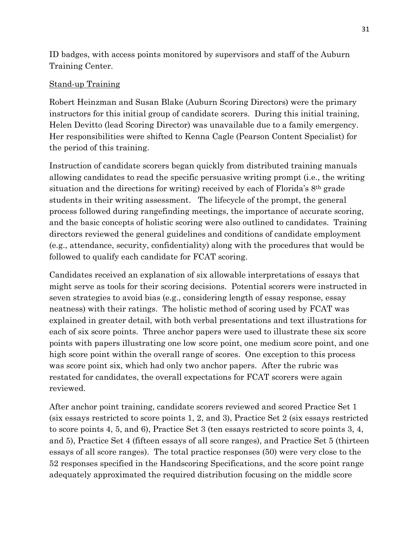ID badges, with access points monitored by supervisors and staff of the Auburn Training Center.

# Stand-up Training

 Robert Heinzman and Susan Blake (Auburn Scoring Directors) were the primary instructors for this initial group of candidate scorers. During this initial training, Helen Devitto (lead Scoring Director) was unavailable due to a family emergency. Her responsibilities were shifted to Kenna Cagle (Pearson Content Specialist) for the period of this training.

 Instruction of candidate scorers began quickly from distributed training manuals allowing candidates to read the specific persuasive writing prompt (i.e., the writing situation and the directions for writing) received by each of Florida's 8th grade students in their writing assessment. The lifecycle of the prompt, the general process followed during rangefinding meetings, the importance of accurate scoring, and the basic concepts of holistic scoring were also outlined to candidates. Training directors reviewed the general guidelines and conditions of candidate employment (e.g., attendance, security, confidentiality) along with the procedures that would be followed to qualify each candidate for FCAT scoring.

 Candidates received an explanation of six allowable interpretations of essays that might serve as tools for their scoring decisions. Potential scorers were instructed in seven strategies to avoid bias (e.g., considering length of essay response, essay neatness) with their ratings. The holistic method of scoring used by FCAT was explained in greater detail, with both verbal presentations and text illustrations for each of six score points. Three anchor papers were used to illustrate these six score points with papers illustrating one low score point, one medium score point, and one high score point within the overall range of scores. One exception to this process was score point six, which had only two anchor papers. After the rubric was restated for candidates, the overall expectations for FCAT scorers were again reviewed.

 After anchor point training, candidate scorers reviewed and scored Practice Set 1 (six essays restricted to score points 1, 2, and 3), Practice Set 2 (six essays restricted to score points 4, 5, and 6), Practice Set 3 (ten essays restricted to score points 3, 4, and 5), Practice Set 4 (fifteen essays of all score ranges), and Practice Set 5 (thirteen essays of all score ranges). The total practice responses (50) were very close to the 52 responses specified in the Handscoring Specifications, and the score point range adequately approximated the required distribution focusing on the middle score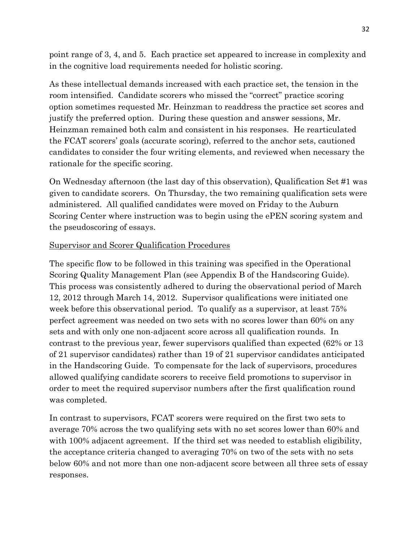point range of 3, 4, and 5. Each practice set appeared to increase in complexity and in the cognitive load requirements needed for holistic scoring.

 As these intellectual demands increased with each practice set, the tension in the room intensified. Candidate scorers who missed the "correct" practice scoring option sometimes requested Mr. Heinzman to readdress the practice set scores and justify the preferred option. During these question and answer sessions, Mr. Heinzman remained both calm and consistent in his responses. He rearticulated the FCAT scorers' goals (accurate scoring), referred to the anchor sets, cautioned candidates to consider the four writing elements, and reviewed when necessary the rationale for the specific scoring.

 On Wednesday afternoon (the last day of this observation), Qualification Set #1 was given to candidate scorers. On Thursday, the two remaining qualification sets were administered. All qualified candidates were moved on Friday to the Auburn Scoring Center where instruction was to begin using the ePEN scoring system and the pseudoscoring of essays.

## Supervisor and Scorer Qualification Procedures

 The specific flow to be followed in this training was specified in the Operational Scoring Quality Management Plan (see Appendix B of the Handscoring Guide). This process was consistently adhered to during the observational period of March 12, 2012 through March 14, 2012. Supervisor qualifications were initiated one week before this observational period. To qualify as a supervisor, at least 75% perfect agreement was needed on two sets with no scores lower than 60% on any sets and with only one non-adjacent score across all qualification rounds. In contrast to the previous year, fewer supervisors qualified than expected (62% or 13 of 21 supervisor candidates) rather than 19 of 21 supervisor candidates anticipated in the Handscoring Guide. To compensate for the lack of supervisors, procedures allowed qualifying candidate scorers to receive field promotions to supervisor in order to meet the required supervisor numbers after the first qualification round was completed.

 In contrast to supervisors, FCAT scorers were required on the first two sets to average 70% across the two qualifying sets with no set scores lower than 60% and with 100% adjacent agreement. If the third set was needed to establish eligibility, the acceptance criteria changed to averaging 70% on two of the sets with no sets below 60% and not more than one non-adjacent score between all three sets of essay responses.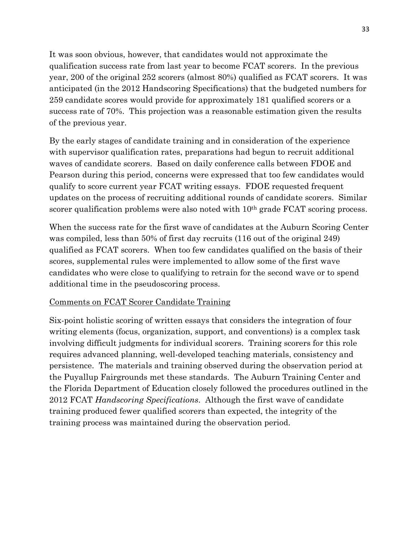It was soon obvious, however, that candidates would not approximate the qualification success rate from last year to become FCAT scorers. In the previous year, 200 of the original 252 scorers (almost 80%) qualified as FCAT scorers. It was anticipated (in the 2012 Handscoring Specifications) that the budgeted numbers for 259 candidate scores would provide for approximately 181 qualified scorers or a success rate of 70%. This projection was a reasonable estimation given the results of the previous year.

 By the early stages of candidate training and in consideration of the experience with supervisor qualification rates, preparations had begun to recruit additional waves of candidate scorers. Based on daily conference calls between FDOE and Pearson during this period, concerns were expressed that too few candidates would qualify to score current year FCAT writing essays. FDOE requested frequent updates on the process of recruiting additional rounds of candidate scorers. Similar scorer qualification problems were also noted with 10<sup>th</sup> grade FCAT scoring process.

 When the success rate for the first wave of candidates at the Auburn Scoring Center was compiled, less than 50% of first day recruits (116 out of the original 249) qualified as FCAT scorers. When too few candidates qualified on the basis of their scores, supplemental rules were implemented to allow some of the first wave candidates who were close to qualifying to retrain for the second wave or to spend additional time in the pseudoscoring process.

## Comments on FCAT Scorer Candidate Training

Six-point holistic scoring of written essays that considers the integration of four writing elements (focus, organization, support, and conventions) is a complex task involving difficult judgments for individual scorers. Training scorers for this role requires advanced planning, well-developed teaching materials, consistency and persistence. The materials and training observed during the observation period at the Puyallup Fairgrounds met these standards. The Auburn Training Center and the Florida Department of Education closely followed the procedures outlined in the 2012 FCAT Handscoring Specifications. Although the first wave of candidate training produced fewer qualified scorers than expected, the integrity of the training process was maintained during the observation period.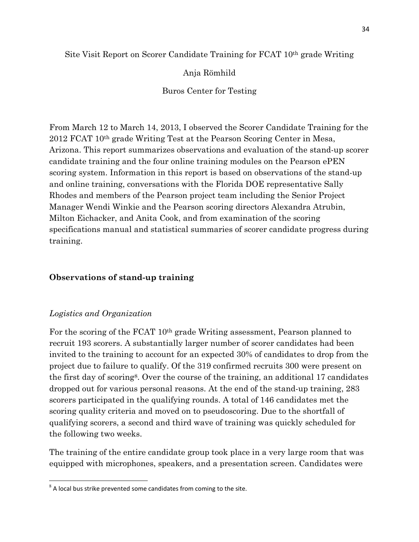## Site Visit Report on Scorer Candidate Training for FCAT 10th grade Writing

## Anja Römhild

Buros Center for Testing

 From March 12 to March 14, 2013, I observed the Scorer Candidate Training for the 2012 FCAT 10th grade Writing Test at the Pearson Scoring Center in Mesa, Arizona. This report summarizes observations and evaluation of the stand-up scorer candidate training and the four online training modules on the Pearson ePEN scoring system. Information in this report is based on observations of the stand-up and online training, conversations with the Florida DOE representative Sally Rhodes and members of the Pearson project team including the Senior Project Manager Wendi Winkie and the Pearson scoring directors Alexandra Atrubin, Milton Eichacker, and Anita Cook, and from examination of the scoring specifications manual and statistical summaries of scorer candidate progress during training.

# Observations of stand-up training

## Logistics and Organization

l.

 For the scoring of the FCAT 10th grade Writing assessment, Pearson planned to recruit 193 scorers. A substantially larger number of scorer candidates had been invited to the training to account for an expected 30% of candidates to drop from the project due to failure to qualify. Of the 319 confirmed recruits 300 were present on the first day of scoring<sup>8</sup>. Over the course of the training, an additional 17 candidates dropped out for various personal reasons. At the end of the stand-up training, 283 scorers participated in the qualifying rounds. A total of 146 candidates met the scoring quality criteria and moved on to pseudoscoring. Due to the shortfall of qualifying scorers, a second and third wave of training was quickly scheduled for the following two weeks.

 The training of the entire candidate group took place in a very large room that was equipped with microphones, speakers, and a presentation screen. Candidates were

 $8$  A local bus strike prevented some candidates from coming to the site.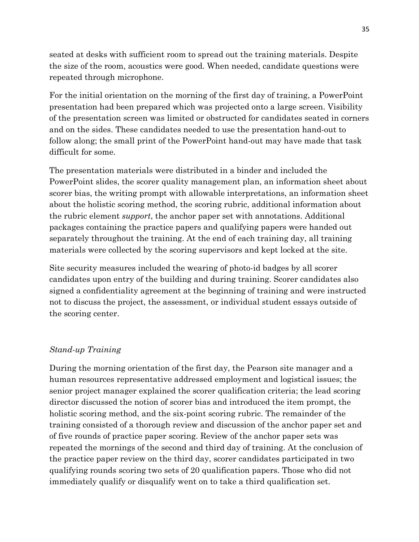seated at desks with sufficient room to spread out the training materials. Despite the size of the room, acoustics were good. When needed, candidate questions were repeated through microphone.

 For the initial orientation on the morning of the first day of training, a PowerPoint presentation had been prepared which was projected onto a large screen. Visibility of the presentation screen was limited or obstructed for candidates seated in corners and on the sides. These candidates needed to use the presentation hand-out to follow along; the small print of the PowerPoint hand-out may have made that task difficult for some.

 The presentation materials were distributed in a binder and included the PowerPoint slides, the scorer quality management plan, an information sheet about scorer bias, the writing prompt with allowable interpretations, an information sheet about the holistic scoring method, the scoring rubric, additional information about the rubric element *support*, the anchor paper set with annotations. Additional packages containing the practice papers and qualifying papers were handed out separately throughout the training. At the end of each training day, all training materials were collected by the scoring supervisors and kept locked at the site.

Site security measures included the wearing of photo-id badges by all scorer candidates upon entry of the building and during training. Scorer candidates also signed a confidentiality agreement at the beginning of training and were instructed not to discuss the project, the assessment, or individual student essays outside of the scoring center.

# Stand-up Training

 During the morning orientation of the first day, the Pearson site manager and a human resources representative addressed employment and logistical issues; the senior project manager explained the scorer qualification criteria; the lead scoring director discussed the notion of scorer bias and introduced the item prompt, the holistic scoring method, and the six-point scoring rubric. The remainder of the training consisted of a thorough review and discussion of the anchor paper set and of five rounds of practice paper scoring. Review of the anchor paper sets was repeated the mornings of the second and third day of training. At the conclusion of the practice paper review on the third day, scorer candidates participated in two qualifying rounds scoring two sets of 20 qualification papers. Those who did not immediately qualify or disqualify went on to take a third qualification set.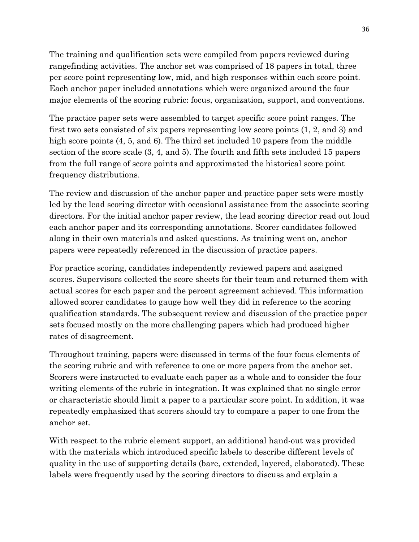The training and qualification sets were compiled from papers reviewed during rangefinding activities. The anchor set was comprised of 18 papers in total, three per score point representing low, mid, and high responses within each score point. Each anchor paper included annotations which were organized around the four major elements of the scoring rubric: focus, organization, support, and conventions.

 The practice paper sets were assembled to target specific score point ranges. The first two sets consisted of six papers representing low score points (1, 2, and 3) and high score points  $(4, 5,$  and 6). The third set included 10 papers from the middle section of the score scale (3, 4, and 5). The fourth and fifth sets included 15 papers from the full range of score points and approximated the historical score point frequency distributions.

 The review and discussion of the anchor paper and practice paper sets were mostly led by the lead scoring director with occasional assistance from the associate scoring directors. For the initial anchor paper review, the lead scoring director read out loud each anchor paper and its corresponding annotations. Scorer candidates followed along in their own materials and asked questions. As training went on, anchor papers were repeatedly referenced in the discussion of practice papers.

 For practice scoring, candidates independently reviewed papers and assigned scores. Supervisors collected the score sheets for their team and returned them with actual scores for each paper and the percent agreement achieved. This information allowed scorer candidates to gauge how well they did in reference to the scoring qualification standards. The subsequent review and discussion of the practice paper sets focused mostly on the more challenging papers which had produced higher rates of disagreement.

 Throughout training, papers were discussed in terms of the four focus elements of the scoring rubric and with reference to one or more papers from the anchor set. Scorers were instructed to evaluate each paper as a whole and to consider the four writing elements of the rubric in integration. It was explained that no single error or characteristic should limit a paper to a particular score point. In addition, it was repeatedly emphasized that scorers should try to compare a paper to one from the anchor set.

With respect to the rubric element support, an additional hand-out was provided with the materials which introduced specific labels to describe different levels of quality in the use of supporting details (bare, extended, layered, elaborated). These labels were frequently used by the scoring directors to discuss and explain a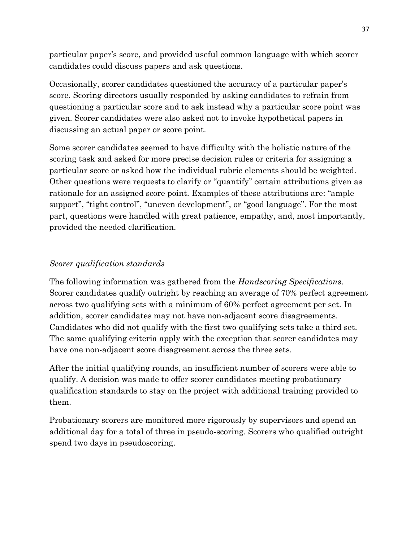particular paper's score, and provided useful common language with which scorer candidates could discuss papers and ask questions.

 Occasionally, scorer candidates questioned the accuracy of a particular paper's score. Scoring directors usually responded by asking candidates to refrain from questioning a particular score and to ask instead why a particular score point was given. Scorer candidates were also asked not to invoke hypothetical papers in discussing an actual paper or score point.

 Some scorer candidates seemed to have difficulty with the holistic nature of the scoring task and asked for more precise decision rules or criteria for assigning a particular score or asked how the individual rubric elements should be weighted. Other questions were requests to clarify or "quantify" certain attributions given as rationale for an assigned score point. Examples of these attributions are: "ample support", "tight control", "uneven development", or "good language". For the most part, questions were handled with great patience, empathy, and, most importantly, provided the needed clarification.

## Scorer qualification standards

The following information was gathered from the *Handscoring Specifications*. Scorer candidates qualify outright by reaching an average of 70% perfect agreement across two qualifying sets with a minimum of 60% perfect agreement per set. In addition, scorer candidates may not have non-adjacent score disagreements. Candidates who did not qualify with the first two qualifying sets take a third set. The same qualifying criteria apply with the exception that scorer candidates may have one non-adjacent score disagreement across the three sets.

 After the initial qualifying rounds, an insufficient number of scorers were able to qualify. A decision was made to offer scorer candidates meeting probationary qualification standards to stay on the project with additional training provided to them.

 Probationary scorers are monitored more rigorously by supervisors and spend an additional day for a total of three in pseudo-scoring. Scorers who qualified outright spend two days in pseudoscoring.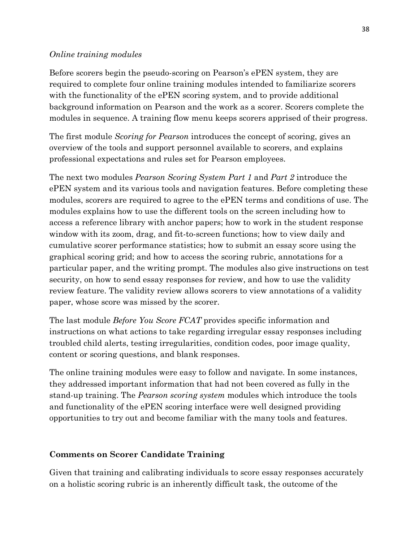#### Online training modules

Before scorers begin the pseudo-scoring on Pearson's ePEN system, they are required to complete four online training modules intended to familiarize scorers with the functionality of the ePEN scoring system, and to provide additional background information on Pearson and the work as a scorer. Scorers complete the modules in sequence. A training flow menu keeps scorers apprised of their progress.

The first module *Scoring for Pearson* introduces the concept of scoring, gives an overview of the tools and support personnel available to scorers, and explains professional expectations and rules set for Pearson employees.

The next two modules *Pearson Scoring System Part 1* and *Part 2* introduce the ePEN system and its various tools and navigation features. Before completing these modules, scorers are required to agree to the ePEN terms and conditions of use. The modules explains how to use the different tools on the screen including how to access a reference library with anchor papers; how to work in the student response window with its zoom, drag, and fit-to-screen functions; how to view daily and cumulative scorer performance statistics; how to submit an essay score using the graphical scoring grid; and how to access the scoring rubric, annotations for a particular paper, and the writing prompt. The modules also give instructions on test security, on how to send essay responses for review, and how to use the validity review feature. The validity review allows scorers to view annotations of a validity paper, whose score was missed by the scorer.

The last module *Before You Score FCAT* provides specific information and instructions on what actions to take regarding irregular essay responses including troubled child alerts, testing irregularities, condition codes, poor image quality, content or scoring questions, and blank responses.

 The online training modules were easy to follow and navigate. In some instances, they addressed important information that had not been covered as fully in the stand-up training. The *Pearson scoring system* modules which introduce the tools and functionality of the ePEN scoring interface were well designed providing opportunities to try out and become familiar with the many tools and features.

## Comments on Scorer Candidate Training

 Given that training and calibrating individuals to score essay responses accurately on a holistic scoring rubric is an inherently difficult task, the outcome of the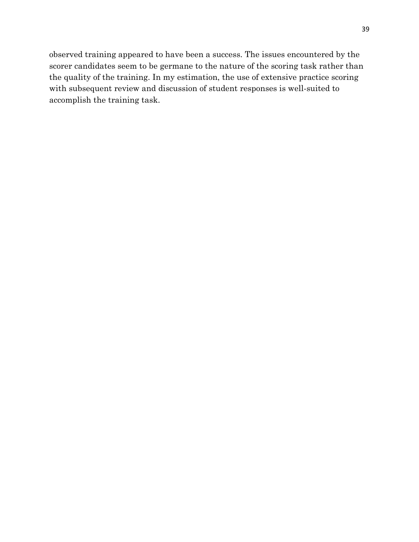observed training appeared to have been a success. The issues encountered by the scorer candidates seem to be germane to the nature of the scoring task rather than the quality of the training. In my estimation, the use of extensive practice scoring with subsequent review and discussion of student responses is well-suited to accomplish the training task.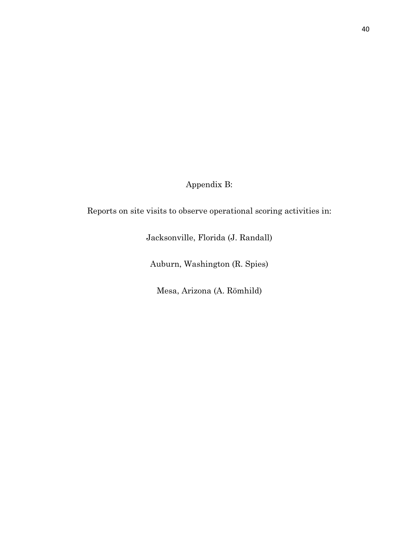Appendix B:

Reports on site visits to observe operational scoring activities in:

Jacksonville, Florida (J. Randall)

Auburn, Washington (R. Spies)

Mesa, Arizona (A. Römhild)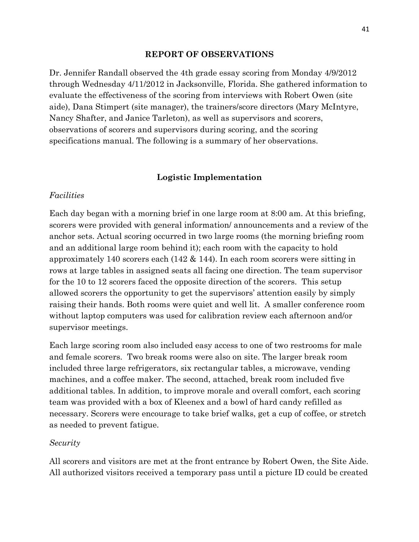#### REPORT OF OBSERVATIONS

 Dr. Jennifer Randall observed the 4th grade essay scoring from Monday 4/9/2012 through Wednesday 4/11/2012 in Jacksonville, Florida. She gathered information to evaluate the effectiveness of the scoring from interviews with Robert Owen (site aide), Dana Stimpert (site manager), the trainers/score directors (Mary McIntyre, Nancy Shafter, and Janice Tarleton), as well as supervisors and scorers, observations of scorers and supervisors during scoring, and the scoring specifications manual. The following is a summary of her observations.

#### Logistic Implementation

#### Facilities

 Each day began with a morning brief in one large room at 8:00 am. At this briefing, scorers were provided with general information/ announcements and a review of the anchor sets. Actual scoring occurred in two large rooms (the morning briefing room and an additional large room behind it); each room with the capacity to hold approximately 140 scorers each (142 & 144). In each room scorers were sitting in rows at large tables in assigned seats all facing one direction. The team supervisor for the 10 to 12 scorers faced the opposite direction of the scorers. This setup allowed scorers the opportunity to get the supervisors' attention easily by simply raising their hands. Both rooms were quiet and well lit. A smaller conference room without laptop computers was used for calibration review each afternoon and/or supervisor meetings.

 Each large scoring room also included easy access to one of two restrooms for male and female scorers. Two break rooms were also on site. The larger break room included three large refrigerators, six rectangular tables, a microwave, vending machines, and a coffee maker. The second, attached, break room included five additional tables. In addition, to improve morale and overall comfort, each scoring team was provided with a box of Kleenex and a bowl of hard candy refilled as necessary. Scorers were encourage to take brief walks, get a cup of coffee, or stretch as needed to prevent fatigue.

#### Security

 All scorers and visitors are met at the front entrance by Robert Owen, the Site Aide. All authorized visitors received a temporary pass until a picture ID could be created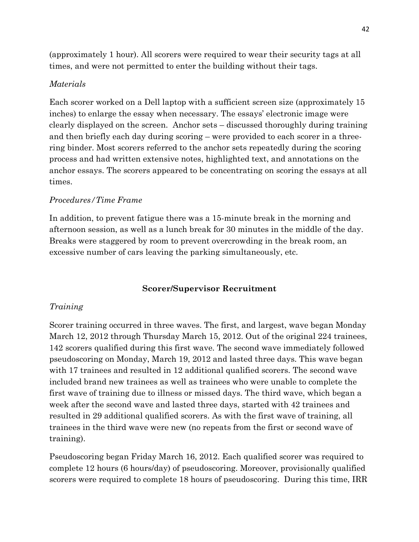(approximately 1 hour). All scorers were required to wear their security tags at all times, and were not permitted to enter the building without their tags.

## Materials

 Each scorer worked on a Dell laptop with a sufficient screen size (approximately 15 inches) to enlarge the essay when necessary. The essays' electronic image were clearly displayed on the screen. Anchor sets – discussed thoroughly during training and then briefly each day during scoring – were provided to each scorer in a three- ring binder. Most scorers referred to the anchor sets repeatedly during the scoring process and had written extensive notes, highlighted text, and annotations on the anchor essays. The scorers appeared to be concentrating on scoring the essays at all times.

## Procedures/Time Frame

In addition, to prevent fatigue there was a 15-minute break in the morning and afternoon session, as well as a lunch break for 30 minutes in the middle of the day. Breaks were staggered by room to prevent overcrowding in the break room, an excessive number of cars leaving the parking simultaneously, etc.

## Scorer/Supervisor Recruitment

# Training

 Scorer training occurred in three waves. The first, and largest, wave began Monday March 12, 2012 through Thursday March 15, 2012. Out of the original 224 trainees, 142 scorers qualified during this first wave. The second wave immediately followed pseudoscoring on Monday, March 19, 2012 and lasted three days. This wave began with 17 trainees and resulted in 12 additional qualified scorers. The second wave included brand new trainees as well as trainees who were unable to complete the first wave of training due to illness or missed days. The third wave, which began a week after the second wave and lasted three days, started with 42 trainees and resulted in 29 additional qualified scorers. As with the first wave of training, all trainees in the third wave were new (no repeats from the first or second wave of training).

 Pseudoscoring began Friday March 16, 2012. Each qualified scorer was required to complete 12 hours (6 hours/day) of pseudoscoring. Moreover, provisionally qualified scorers were required to complete 18 hours of pseudoscoring. During this time, IRR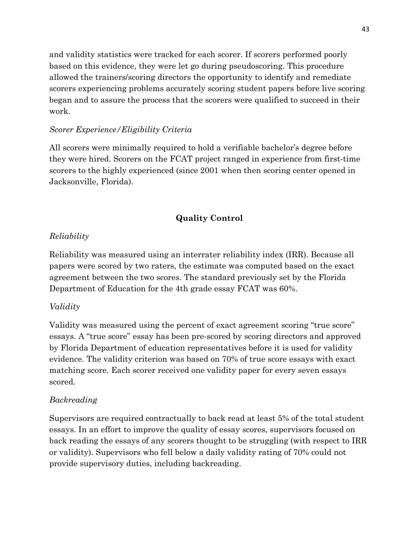and validity statistics were tracked for each scorer. If scorers performed poorly based on this evidence, they were let go during pseudoscoring. This procedure allowed the trainers/scoring directors the opportunity to identify and remediate scorers experiencing problems accurately scoring student papers before live scoring began and to assure the process that the scorers were qualified to succeed in their work.

# Scorer Experience/Eligibility Criteria

 All scorers were minimally required to hold a verifiable bachelor's degree before they were hired. Scorers on the FCAT project ranged in experience from first-time scorers to the highly experienced (since 2001 when then scoring center opened in Jacksonville, Florida).

# Quality Control

# Reliability

 Reliability was measured using an interrater reliability index (IRR). Because all papers were scored by two raters, the estimate was computed based on the exact agreement between the two scores. The standard previously set by the Florida Department of Education for the 4th grade essay FCAT was 60%.

# Validity

 Validity was measured using the percent of exact agreement scoring "true score" essays. A "true score" essay has been pre-scored by scoring directors and approved by Florida Department of education representatives before it is used for validity evidence. The validity criterion was based on 70% of true score essays with exact matching score. Each scorer received one validity paper for every seven essays scored.

# Backreading

 Supervisors are required contractually to back read at least 5% of the total student essays. In an effort to improve the quality of essay scores, supervisors focused on back reading the essays of any scorers thought to be struggling (with respect to IRR or validity). Supervisors who fell below a daily validity rating of 70% could not provide supervisory duties, including backreading.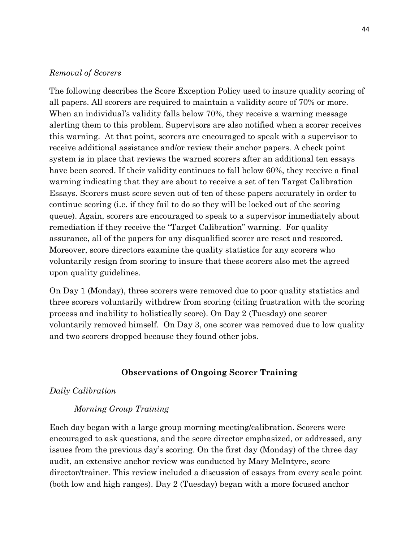#### Removal of Scorers

 The following describes the Score Exception Policy used to insure quality scoring of all papers. All scorers are required to maintain a validity score of 70% or more. When an individual's validity falls below 70%, they receive a warning message alerting them to this problem. Supervisors are also notified when a scorer receives this warning. At that point, scorers are encouraged to speak with a supervisor to receive additional assistance and/or review their anchor papers. A check point system is in place that reviews the warned scorers after an additional ten essays have been scored. If their validity continues to fall below 60%, they receive a final warning indicating that they are about to receive a set of ten Target Calibration Essays. Scorers must score seven out of ten of these papers accurately in order to continue scoring (i.e. if they fail to do so they will be locked out of the scoring queue). Again, scorers are encouraged to speak to a supervisor immediately about remediation if they receive the "Target Calibration" warning. For quality assurance, all of the papers for any disqualified scorer are reset and rescored. Moreover, score directors examine the quality statistics for any scorers who voluntarily resign from scoring to insure that these scorers also met the agreed upon quality guidelines.

 On Day 1 (Monday), three scorers were removed due to poor quality statistics and three scorers voluntarily withdrew from scoring (citing frustration with the scoring process and inability to holistically score). On Day 2 (Tuesday) one scorer voluntarily removed himself. On Day 3, one scorer was removed due to low quality and two scorers dropped because they found other jobs.

#### Observations of Ongoing Scorer Training

#### Daily Calibration

#### Morning Group Training

 Each day began with a large group morning meeting/calibration. Scorers were encouraged to ask questions, and the score director emphasized, or addressed, any issues from the previous day's scoring. On the first day (Monday) of the three day audit, an extensive anchor review was conducted by Mary McIntyre, score director/trainer. This review included a discussion of essays from every scale point (both low and high ranges). Day 2 (Tuesday) began with a more focused anchor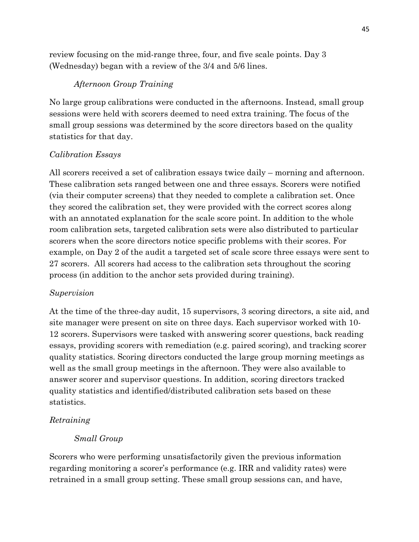review focusing on the mid-range three, four, and five scale points. Day 3 (Wednesday) began with a review of the 3/4 and 5/6 lines.

## Afternoon Group Training

 No large group calibrations were conducted in the afternoons. Instead, small group sessions were held with scorers deemed to need extra training. The focus of the small group sessions was determined by the score directors based on the quality statistics for that day.

## Calibration Essays

 All scorers received a set of calibration essays twice daily – morning and afternoon. These calibration sets ranged between one and three essays. Scorers were notified (via their computer screens) that they needed to complete a calibration set. Once they scored the calibration set, they were provided with the correct scores along with an annotated explanation for the scale score point. In addition to the whole room calibration sets, targeted calibration sets were also distributed to particular scorers when the score directors notice specific problems with their scores. For example, on Day 2 of the audit a targeted set of scale score three essays were sent to 27 scorers. All scorers had access to the calibration sets throughout the scoring process (in addition to the anchor sets provided during training).

## Supervision

At the time of the three-day audit, 15 supervisors, 3 scoring directors, a site aid, and site manager were present on site on three days. Each supervisor worked with 10 12 scorers. Supervisors were tasked with answering scorer questions, back reading essays, providing scorers with remediation (e.g. paired scoring), and tracking scorer quality statistics. Scoring directors conducted the large group morning meetings as well as the small group meetings in the afternoon. They were also available to answer scorer and supervisor questions. In addition, scoring directors tracked quality statistics and identified/distributed calibration sets based on these statistics.

# Retraining

## Small Group

 Scorers who were performing unsatisfactorily given the previous information regarding monitoring a scorer's performance (e.g. IRR and validity rates) were retrained in a small group setting. These small group sessions can, and have,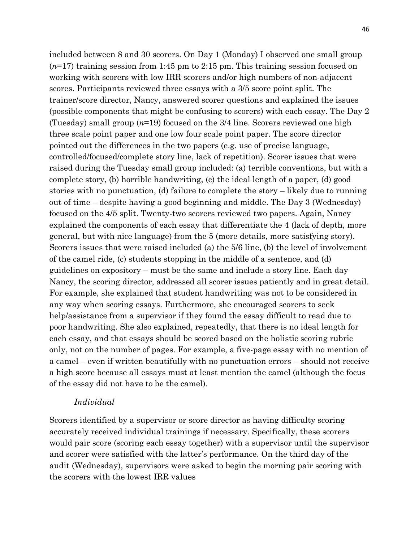included between 8 and 30 scorers. On Day 1 (Monday) I observed one small group  $(n=17)$  training session from 1:45 pm to 2:15 pm. This training session focused on working with scorers with low IRR scorers and/or high numbers of non-adjacent scores. Participants reviewed three essays with a 3/5 score point split. The trainer/score director, Nancy, answered scorer questions and explained the issues (possible components that might be confusing to scorers) with each essay. The Day 2 (Tuesday) small group  $(n=19)$  focused on the 3/4 line. Scorers reviewed one high three scale point paper and one low four scale point paper. The score director pointed out the differences in the two papers (e.g. use of precise language, controlled/focused/complete story line, lack of repetition). Scorer issues that were raised during the Tuesday small group included: (a) terrible conventions, but with a complete story, (b) horrible handwriting, (c) the ideal length of a paper, (d) good stories with no punctuation, (d) failure to complete the story – likely due to running out of time – despite having a good beginning and middle. The Day 3 (Wednesday) focused on the 4/5 split. Twenty-two scorers reviewed two papers. Again, Nancy explained the components of each essay that differentiate the 4 (lack of depth, more general, but with nice language) from the 5 (more details, more satisfying story). Scorers issues that were raised included (a) the 5/6 line, (b) the level of involvement of the camel ride, (c) students stopping in the middle of a sentence, and (d) guidelines on expository – must be the same and include a story line. Each day Nancy, the scoring director, addressed all scorer issues patiently and in great detail. For example, she explained that student handwriting was not to be considered in any way when scoring essays. Furthermore, she encouraged scorers to seek help/assistance from a supervisor if they found the essay difficult to read due to poor handwriting. She also explained, repeatedly, that there is no ideal length for each essay, and that essays should be scored based on the holistic scoring rubric only, not on the number of pages. For example, a five-page essay with no mention of a camel – even if written beautifully with no punctuation errors – should not receive a high score because all essays must at least mention the camel (although the focus of the essay did not have to be the camel).

#### Individual

 Scorers identified by a supervisor or score director as having difficulty scoring accurately received individual trainings if necessary. Specifically, these scorers would pair score (scoring each essay together) with a supervisor until the supervisor and scorer were satisfied with the latter's performance. On the third day of the audit (Wednesday), supervisors were asked to begin the morning pair scoring with the scorers with the lowest IRR values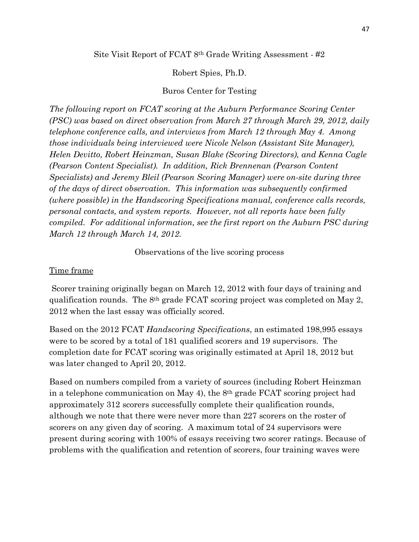Site Visit Report of FCAT 8<sup>th</sup> Grade Writing Assessment - #2

Robert Spies, Ph.D.

#### Buros Center for Testing

 The following report on FCAT scoring at the Auburn Performance Scoring Center (PSC) was based on direct observation from March 27 through March 29, 2012, daily telephone conference calls, and interviews from March 12 through May 4. Among those individuals being interviewed were Nicole Nelson (Assistant Site Manager), Helen Devitto, Robert Heinzman, Susan Blake (Scoring Directors), and Kenna Cagle (Pearson Content Specialist). In addition, Rick Brennenan (Pearson Content Specialists) and Jeremy Bleil (Pearson Scoring Manager) were on-site during three of the days of direct observation. This information was subsequently confirmed (where possible) in the Handscoring Specifications manual, conference calls records, personal contacts, and system reports. However, not all reports have been fully compiled. For additional information, see the first report on the Auburn PSC during March 12 through March 14, 2012.

Observations of the live scoring process

#### Time frame

 Scorer training originally began on March 12, 2012 with four days of training and qualification rounds. The 8th grade FCAT scoring project was completed on May 2, 2012 when the last essay was officially scored.

 Based on the 2012 FCAT Handscoring Specifications, an estimated 198,995 essays were to be scored by a total of 181 qualified scorers and 19 supervisors. The completion date for FCAT scoring was originally estimated at April 18, 2012 but was later changed to April 20, 2012.

 Based on numbers compiled from a variety of sources (including Robert Heinzman in a telephone communication on May 4), the 8th grade FCAT scoring project had approximately 312 scorers successfully complete their qualification rounds, although we note that there were never more than 227 scorers on the roster of scorers on any given day of scoring. A maximum total of 24 supervisors were present during scoring with 100% of essays receiving two scorer ratings. Because of problems with the qualification and retention of scorers, four training waves were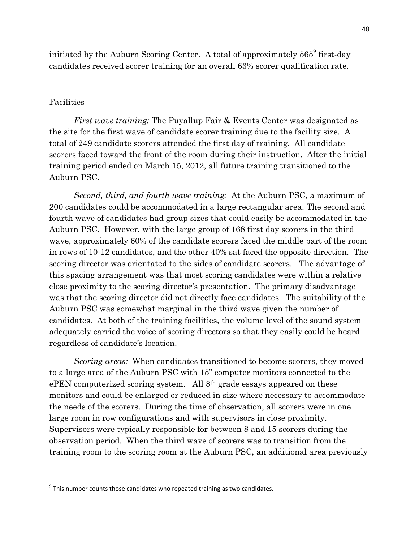initiated by the Auburn Scoring Center. A total of approximately  $565^{\circ}$  first-day candidates received scorer training for an overall 63% scorer qualification rate.

#### Facilities

l.

First wave training: The Puyallup Fair & Events Center was designated as the site for the first wave of candidate scorer training due to the facility size. A total of 249 candidate scorers attended the first day of training. All candidate scorers faced toward the front of the room during their instruction. After the initial training period ended on March 15, 2012, all future training transitioned to the Auburn PSC.

Second, third, and fourth wave training: At the Auburn PSC, a maximum of 200 candidates could be accommodated in a large rectangular area. The second and fourth wave of candidates had group sizes that could easily be accommodated in the Auburn PSC. However, with the large group of 168 first day scorers in the third wave, approximately 60% of the candidate scorers faced the middle part of the room in rows of 10-12 candidates, and the other 40% sat faced the opposite direction. The scoring director was orientated to the sides of candidate scorers. The advantage of this spacing arrangement was that most scoring candidates were within a relative close proximity to the scoring director's presentation. The primary disadvantage was that the scoring director did not directly face candidates. The suitability of the Auburn PSC was somewhat marginal in the third wave given the number of candidates. At both of the training facilities, the volume level of the sound system adequately carried the voice of scoring directors so that they easily could be heard regardless of candidate's location.

Scoring areas: When candidates transitioned to become scorers, they moved to a large area of the Auburn PSC with 15" computer monitors connected to the ePEN computerized scoring system. All 8<sup>th</sup> grade essays appeared on these monitors and could be enlarged or reduced in size where necessary to accommodate the needs of the scorers. During the time of observation, all scorers were in one large room in row configurations and with supervisors in close proximity. Supervisors were typically responsible for between 8 and 15 scorers during the observation period. When the third wave of scorers was to transition from the training room to the scoring room at the Auburn PSC, an additional area previously

 $9$  This number counts those candidates who repeated training as two candidates.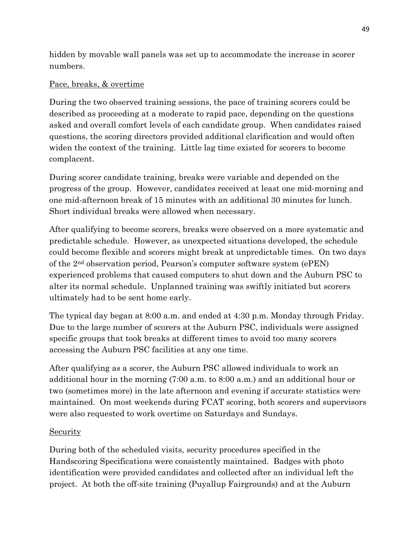hidden by movable wall panels was set up to accommodate the increase in scorer numbers.

# Pace, breaks, & overtime

 During the two observed training sessions, the pace of training scorers could be described as proceeding at a moderate to rapid pace, depending on the questions asked and overall comfort levels of each candidate group. When candidates raised questions, the scoring directors provided additional clarification and would often widen the context of the training. Little lag time existed for scorers to become complacent.

 During scorer candidate training, breaks were variable and depended on the progress of the group. However, candidates received at least one mid-morning and one mid-afternoon break of 15 minutes with an additional 30 minutes for lunch. Short individual breaks were allowed when necessary.

 After qualifying to become scorers, breaks were observed on a more systematic and predictable schedule. However, as unexpected situations developed, the schedule could become flexible and scorers might break at unpredictable times. On two days of the 2nd observation period, Pearson's computer software system (ePEN) experienced problems that caused computers to shut down and the Auburn PSC to alter its normal schedule. Unplanned training was swiftly initiated but scorers ultimately had to be sent home early.

 The typical day began at 8:00 a.m. and ended at 4:30 p.m. Monday through Friday. Due to the large number of scorers at the Auburn PSC, individuals were assigned specific groups that took breaks at different times to avoid too many scorers accessing the Auburn PSC facilities at any one time.

 After qualifying as a scorer, the Auburn PSC allowed individuals to work an additional hour in the morning (7:00 a.m. to 8:00 a.m.) and an additional hour or two (sometimes more) in the late afternoon and evening if accurate statistics were maintained. On most weekends during FCAT scoring, both scorers and supervisors were also requested to work overtime on Saturdays and Sundays.

# Security

 During both of the scheduled visits, security procedures specified in the Handscoring Specifications were consistently maintained. Badges with photo identification were provided candidates and collected after an individual left the project. At both the off-site training (Puyallup Fairgrounds) and at the Auburn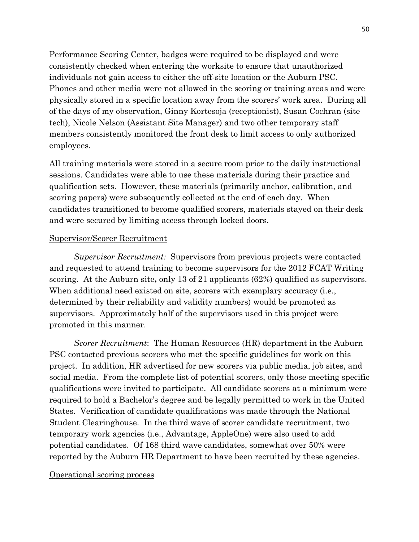Performance Scoring Center, badges were required to be displayed and were consistently checked when entering the worksite to ensure that unauthorized individuals not gain access to either the off-site location or the Auburn PSC. Phones and other media were not allowed in the scoring or training areas and were physically stored in a specific location away from the scorers' work area. During all of the days of my observation, Ginny Kortesoja (receptionist), Susan Cochran (site tech), Nicole Nelson (Assistant Site Manager) and two other temporary staff members consistently monitored the front desk to limit access to only authorized employees.

 All training materials were stored in a secure room prior to the daily instructional sessions. Candidates were able to use these materials during their practice and qualification sets. However, these materials (primarily anchor, calibration, and scoring papers) were subsequently collected at the end of each day. When candidates transitioned to become qualified scorers, materials stayed on their desk and were secured by limiting access through locked doors.

#### Supervisor/Scorer Recruitment

Supervisor Recruitment: Supervisors from previous projects were contacted and requested to attend training to become supervisors for the 2012 FCAT Writing scoring. At the Auburn site, only 13 of 21 applicants (62%) qualified as supervisors. When additional need existed on site, scorers with exemplary accuracy (i.e., determined by their reliability and validity numbers) would be promoted as supervisors. Approximately half of the supervisors used in this project were promoted in this manner.

Scorer Recruitment: The Human Resources (HR) department in the Auburn PSC contacted previous scorers who met the specific guidelines for work on this project. In addition, HR advertised for new scorers via public media, job sites, and social media. From the complete list of potential scorers, only those meeting specific qualifications were invited to participate. All candidate scorers at a minimum were required to hold a Bachelor's degree and be legally permitted to work in the United States. Verification of candidate qualifications was made through the National Student Clearinghouse. In the third wave of scorer candidate recruitment, two temporary work agencies (i.e., Advantage, AppleOne) were also used to add potential candidates. Of 168 third wave candidates, somewhat over 50% were reported by the Auburn HR Department to have been recruited by these agencies.

#### Operational scoring process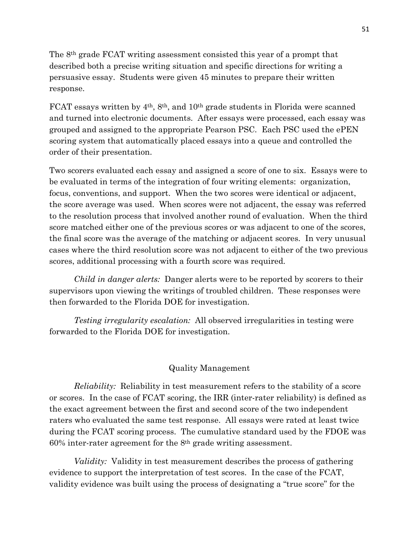The 8th grade FCAT writing assessment consisted this year of a prompt that described both a precise writing situation and specific directions for writing a persuasive essay. Students were given 45 minutes to prepare their written response.

FCAT essays written by 4<sup>th</sup>, 8<sup>th</sup>, and 10<sup>th</sup> grade students in Florida were scanned and turned into electronic documents. After essays were processed, each essay was grouped and assigned to the appropriate Pearson PSC. Each PSC used the ePEN scoring system that automatically placed essays into a queue and controlled the order of their presentation.

 Two scorers evaluated each essay and assigned a score of one to six. Essays were to be evaluated in terms of the integration of four writing elements: organization, focus, conventions, and support. When the two scores were identical or adjacent, the score average was used. When scores were not adjacent, the essay was referred to the resolution process that involved another round of evaluation. When the third score matched either one of the previous scores or was adjacent to one of the scores, the final score was the average of the matching or adjacent scores. In very unusual cases where the third resolution score was not adjacent to either of the two previous scores, additional processing with a fourth score was required.

Child in danger alerts: Danger alerts were to be reported by scorers to their supervisors upon viewing the writings of troubled children. These responses were then forwarded to the Florida DOE for investigation.

 Testing irregularity escalation: All observed irregularities in testing were forwarded to the Florida DOE for investigation.

## Quality Management

Reliability: Reliability in test measurement refers to the stability of a score or scores. In the case of FCAT scoring, the IRR (inter-rater reliability) is defined as the exact agreement between the first and second score of the two independent raters who evaluated the same test response. All essays were rated at least twice during the FCAT scoring process. The cumulative standard used by the FDOE was  $60\%$  inter-rater agreement for the  $8<sup>th</sup>$  grade writing assessment.

 Validity: Validity in test measurement describes the process of gathering evidence to support the interpretation of test scores. In the case of the FCAT, validity evidence was built using the process of designating a "true score" for the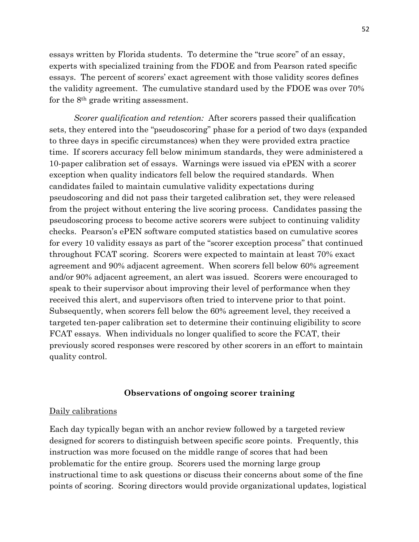essays written by Florida students. To determine the "true score" of an essay, experts with specialized training from the FDOE and from Pearson rated specific essays. The percent of scorers' exact agreement with those validity scores defines the validity agreement. The cumulative standard used by the FDOE was over 70% for the 8th grade writing assessment.

Scorer qualification and retention: After scorers passed their qualification sets, they entered into the "pseudoscoring" phase for a period of two days (expanded to three days in specific circumstances) when they were provided extra practice time. If scorers accuracy fell below minimum standards, they were administered a 10-paper calibration set of essays. Warnings were issued via ePEN with a scorer exception when quality indicators fell below the required standards. When candidates failed to maintain cumulative validity expectations during pseudoscoring and did not pass their targeted calibration set, they were released from the project without entering the live scoring process. Candidates passing the pseudoscoring process to become active scorers were subject to continuing validity checks. Pearson's ePEN software computed statistics based on cumulative scores for every 10 validity essays as part of the "scorer exception process" that continued throughout FCAT scoring. Scorers were expected to maintain at least 70% exact agreement and 90% adjacent agreement. When scorers fell below 60% agreement and/or 90% adjacent agreement, an alert was issued. Scorers were encouraged to speak to their supervisor about improving their level of performance when they received this alert, and supervisors often tried to intervene prior to that point. Subsequently, when scorers fell below the 60% agreement level, they received a targeted ten-paper calibration set to determine their continuing eligibility to score FCAT essays. When individuals no longer qualified to score the FCAT, their previously scored responses were rescored by other scorers in an effort to maintain quality control.

#### Observations of ongoing scorer training

#### Daily calibrations

 Each day typically began with an anchor review followed by a targeted review designed for scorers to distinguish between specific score points. Frequently, this instruction was more focused on the middle range of scores that had been problematic for the entire group. Scorers used the morning large group instructional time to ask questions or discuss their concerns about some of the fine points of scoring. Scoring directors would provide organizational updates, logistical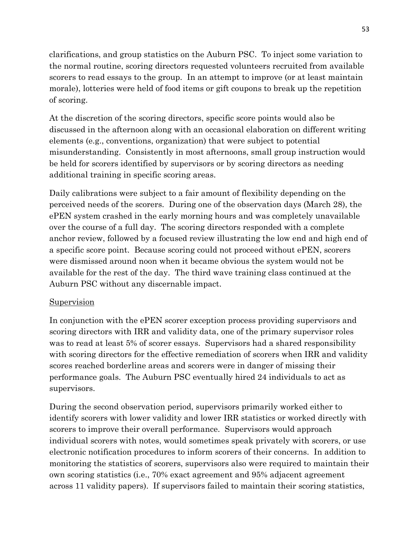clarifications, and group statistics on the Auburn PSC. To inject some variation to the normal routine, scoring directors requested volunteers recruited from available scorers to read essays to the group. In an attempt to improve (or at least maintain morale), lotteries were held of food items or gift coupons to break up the repetition of scoring.

 At the discretion of the scoring directors, specific score points would also be discussed in the afternoon along with an occasional elaboration on different writing elements (e.g., conventions, organization) that were subject to potential misunderstanding. Consistently in most afternoons, small group instruction would be held for scorers identified by supervisors or by scoring directors as needing additional training in specific scoring areas.

 Daily calibrations were subject to a fair amount of flexibility depending on the perceived needs of the scorers. During one of the observation days (March 28), the ePEN system crashed in the early morning hours and was completely unavailable over the course of a full day. The scoring directors responded with a complete anchor review, followed by a focused review illustrating the low end and high end of a specific score point. Because scoring could not proceed without ePEN, scorers were dismissed around noon when it became obvious the system would not be available for the rest of the day. The third wave training class continued at the Auburn PSC without any discernable impact.

## **Supervision**

 In conjunction with the ePEN scorer exception process providing supervisors and scoring directors with IRR and validity data, one of the primary supervisor roles was to read at least 5% of scorer essays. Supervisors had a shared responsibility with scoring directors for the effective remediation of scorers when IRR and validity scores reached borderline areas and scorers were in danger of missing their performance goals. The Auburn PSC eventually hired 24 individuals to act as supervisors.

 During the second observation period, supervisors primarily worked either to identify scorers with lower validity and lower IRR statistics or worked directly with scorers to improve their overall performance. Supervisors would approach individual scorers with notes, would sometimes speak privately with scorers, or use electronic notification procedures to inform scorers of their concerns. In addition to monitoring the statistics of scorers, supervisors also were required to maintain their own scoring statistics (i.e., 70% exact agreement and 95% adjacent agreement across 11 validity papers). If supervisors failed to maintain their scoring statistics,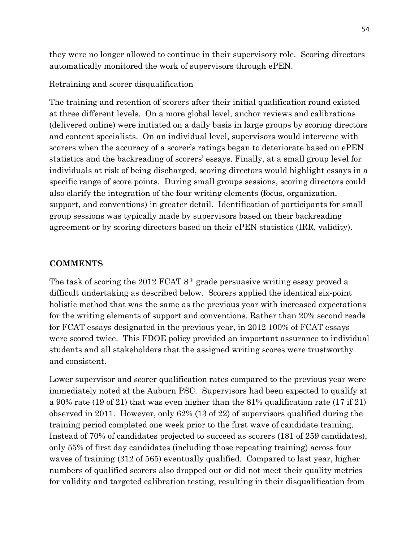they were no longer allowed to continue in their supervisory role. Scoring directors automatically monitored the work of supervisors through ePEN.

## Retraining and scorer disqualification

 The training and retention of scorers after their initial qualification round existed at three different levels. On a more global level, anchor reviews and calibrations (delivered online) were initiated on a daily basis in large groups by scoring directors and content specialists. On an individual level, supervisors would intervene with scorers when the accuracy of a scorer's ratings began to deteriorate based on ePEN statistics and the backreading of scorers' essays. Finally, at a small group level for individuals at risk of being discharged, scoring directors would highlight essays in a specific range of score points. During small groups sessions, scoring directors could also clarify the integration of the four writing elements (focus, organization, support, and conventions) in greater detail. Identification of participants for small group sessions was typically made by supervisors based on their backreading agreement or by scoring directors based on their ePEN statistics (IRR, validity).

## **COMMENTS**

 The task of scoring the 2012 FCAT 8th grade persuasive writing essay proved a difficult undertaking as described below. Scorers applied the identical six-point holistic method that was the same as the previous year with increased expectations for the writing elements of support and conventions. Rather than 20% second reads for FCAT essays designated in the previous year, in 2012 100% of FCAT essays were scored twice. This FDOE policy provided an important assurance to individual students and all stakeholders that the assigned writing scores were trustworthy and consistent.

 Lower supervisor and scorer qualification rates compared to the previous year were immediately noted at the Auburn PSC. Supervisors had been expected to qualify at a 90% rate (19 of 21) that was even higher than the 81% qualification rate (17 if 21) observed in 2011. However, only 62% (13 of 22) of supervisors qualified during the training period completed one week prior to the first wave of candidate training. Instead of 70% of candidates projected to succeed as scorers (181 of 259 candidates), only 55% of first day candidates (including those repeating training) across four waves of training (312 of 565) eventually qualified. Compared to last year, higher numbers of qualified scorers also dropped out or did not meet their quality metrics for validity and targeted calibration testing, resulting in their disqualification from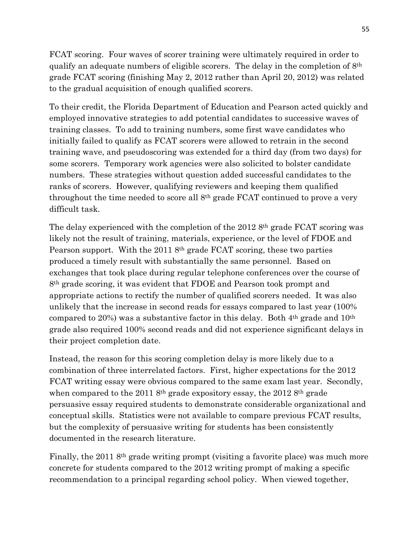FCAT scoring. Four waves of scorer training were ultimately required in order to qualify an adequate numbers of eligible scorers. The delay in the completion of 8th grade FCAT scoring (finishing May 2, 2012 rather than April 20, 2012) was related to the gradual acquisition of enough qualified scorers.

 To their credit, the Florida Department of Education and Pearson acted quickly and employed innovative strategies to add potential candidates to successive waves of training classes. To add to training numbers, some first wave candidates who initially failed to qualify as FCAT scorers were allowed to retrain in the second training wave, and pseudoscoring was extended for a third day (from two days) for some scorers. Temporary work agencies were also solicited to bolster candidate numbers. These strategies without question added successful candidates to the ranks of scorers. However, qualifying reviewers and keeping them qualified throughout the time needed to score all 8th grade FCAT continued to prove a very difficult task.

The delay experienced with the completion of the 2012 8<sup>th</sup> grade FCAT scoring was likely not the result of training, materials, experience, or the level of FDOE and Pearson support. With the 2011 8<sup>th</sup> grade FCAT scoring, these two parties produced a timely result with substantially the same personnel. Based on exchanges that took place during regular telephone conferences over the course of 8th grade scoring, it was evident that FDOE and Pearson took prompt and appropriate actions to rectify the number of qualified scorers needed. It was also unlikely that the increase in second reads for essays compared to last year (100% compared to 20%) was a substantive factor in this delay. Both 4th grade and 10th grade also required 100% second reads and did not experience significant delays in their project completion date.

 Instead, the reason for this scoring completion delay is more likely due to a combination of three interrelated factors. First, higher expectations for the 2012 FCAT writing essay were obvious compared to the same exam last year. Secondly, when compared to the 2011 8<sup>th</sup> grade expository essay, the 2012 8<sup>th</sup> grade persuasive essay required students to demonstrate considerable organizational and conceptual skills. Statistics were not available to compare previous FCAT results, but the complexity of persuasive writing for students has been consistently documented in the research literature.

Finally, the 2011 8<sup>th</sup> grade writing prompt (visiting a favorite place) was much more concrete for students compared to the 2012 writing prompt of making a specific recommendation to a principal regarding school policy. When viewed together,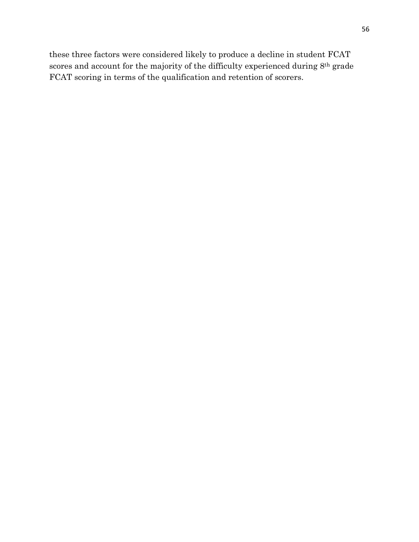these three factors were considered likely to produce a decline in student FCAT scores and account for the majority of the difficulty experienced during 8<sup>th</sup> grade FCAT scoring in terms of the qualification and retention of scorers.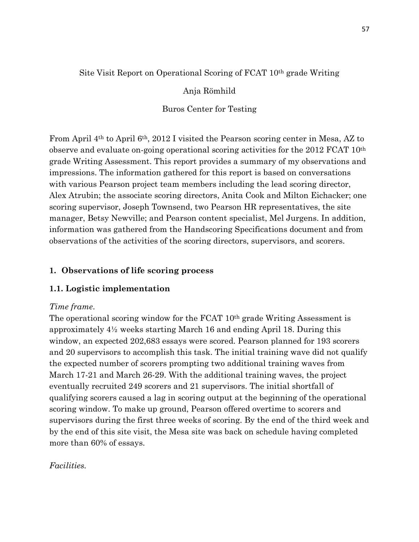# Site Visit Report on Operational Scoring of FCAT 10th grade Writing

# Anja Römhild

# Buros Center for Testing

 From April 4th to April 6th, 2012 I visited the Pearson scoring center in Mesa, AZ to observe and evaluate on-going operational scoring activities for the 2012 FCAT 10th grade Writing Assessment. This report provides a summary of my observations and impressions. The information gathered for this report is based on conversations with various Pearson project team members including the lead scoring director, Alex Atrubin; the associate scoring directors, Anita Cook and Milton Eichacker; one scoring supervisor, Joseph Townsend, two Pearson HR representatives, the site manager, Betsy Newville; and Pearson content specialist, Mel Jurgens. In addition, information was gathered from the Handscoring Specifications document and from observations of the activities of the scoring directors, supervisors, and scorers.

# 1. Observations of life scoring process

# 1.1. Logistic implementation

# Time frame.

The operational scoring window for the FCAT 10<sup>th</sup> grade Writing Assessment is approximately 4½ weeks starting March 16 and ending April 18. During this window, an expected 202,683 essays were scored. Pearson planned for 193 scorers and 20 supervisors to accomplish this task. The initial training wave did not qualify the expected number of scorers prompting two additional training waves from March 17-21 and March 26-29. With the additional training waves, the project eventually recruited 249 scorers and 21 supervisors. The initial shortfall of qualifying scorers caused a lag in scoring output at the beginning of the operational scoring window. To make up ground, Pearson offered overtime to scorers and supervisors during the first three weeks of scoring. By the end of the third week and by the end of this site visit, the Mesa site was back on schedule having completed more than 60% of essays.

# Facilities.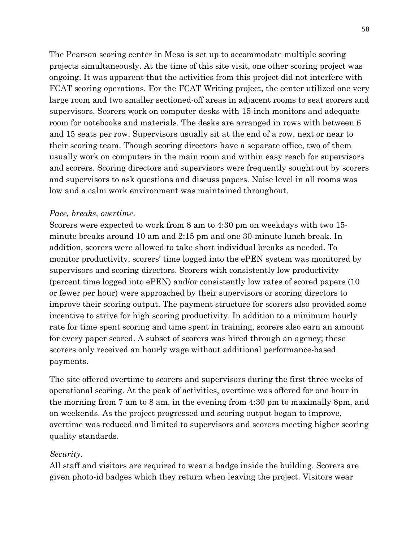The Pearson scoring center in Mesa is set up to accommodate multiple scoring projects simultaneously. At the time of this site visit, one other scoring project was ongoing. It was apparent that the activities from this project did not interfere with FCAT scoring operations. For the FCAT Writing project, the center utilized one very large room and two smaller sectioned-off areas in adjacent rooms to seat scorers and supervisors. Scorers work on computer desks with 15-inch monitors and adequate room for notebooks and materials. The desks are arranged in rows with between 6 and 15 seats per row. Supervisors usually sit at the end of a row, next or near to their scoring team. Though scoring directors have a separate office, two of them usually work on computers in the main room and within easy reach for supervisors and scorers. Scoring directors and supervisors were frequently sought out by scorers and supervisors to ask questions and discuss papers. Noise level in all rooms was low and a calm work environment was maintained throughout.

#### Pace, breaks, overtime.

 Scorers were expected to work from 8 am to 4:30 pm on weekdays with two 15 minute breaks around 10 am and 2:15 pm and one 30-minute lunch break. In addition, scorers were allowed to take short individual breaks as needed. To monitor productivity, scorers' time logged into the ePEN system was monitored by supervisors and scoring directors. Scorers with consistently low productivity (percent time logged into ePEN) and/or consistently low rates of scored papers (10 or fewer per hour) were approached by their supervisors or scoring directors to improve their scoring output. The payment structure for scorers also provided some incentive to strive for high scoring productivity. In addition to a minimum hourly rate for time spent scoring and time spent in training, scorers also earn an amount for every paper scored. A subset of scorers was hired through an agency; these scorers only received an hourly wage without additional performance-based payments.

 The site offered overtime to scorers and supervisors during the first three weeks of operational scoring. At the peak of activities, overtime was offered for one hour in the morning from 7 am to 8 am, in the evening from 4:30 pm to maximally 8pm, and on weekends. As the project progressed and scoring output began to improve, overtime was reduced and limited to supervisors and scorers meeting higher scoring quality standards.

## Security.

 All staff and visitors are required to wear a badge inside the building. Scorers are given photo-id badges which they return when leaving the project. Visitors wear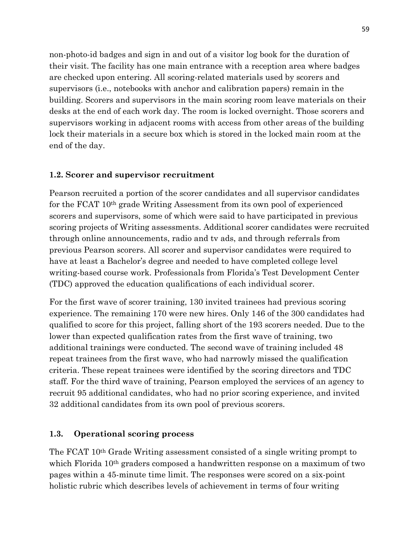non-photo-id badges and sign in and out of a visitor log book for the duration of their visit. The facility has one main entrance with a reception area where badges are checked upon entering. All scoring-related materials used by scorers and supervisors (i.e., notebooks with anchor and calibration papers) remain in the building. Scorers and supervisors in the main scoring room leave materials on their desks at the end of each work day. The room is locked overnight. Those scorers and supervisors working in adjacent rooms with access from other areas of the building lock their materials in a secure box which is stored in the locked main room at the end of the day.

## 1.2. Scorer and supervisor recruitment

 Pearson recruited a portion of the scorer candidates and all supervisor candidates for the FCAT 10th grade Writing Assessment from its own pool of experienced scorers and supervisors, some of which were said to have participated in previous scoring projects of Writing assessments. Additional scorer candidates were recruited through online announcements, radio and tv ads, and through referrals from previous Pearson scorers. All scorer and supervisor candidates were required to have at least a Bachelor's degree and needed to have completed college level writing-based course work. Professionals from Florida's Test Development Center (TDC) approved the education qualifications of each individual scorer.

 For the first wave of scorer training, 130 invited trainees had previous scoring experience. The remaining 170 were new hires. Only 146 of the 300 candidates had qualified to score for this project, falling short of the 193 scorers needed. Due to the lower than expected qualification rates from the first wave of training, two additional trainings were conducted. The second wave of training included 48 repeat trainees from the first wave, who had narrowly missed the qualification criteria. These repeat trainees were identified by the scoring directors and TDC staff. For the third wave of training, Pearson employed the services of an agency to recruit 95 additional candidates, who had no prior scoring experience, and invited 32 additional candidates from its own pool of previous scorers.

#### 1.3. Operational scoring process

 The FCAT 10th Grade Writing assessment consisted of a single writing prompt to which Florida 10<sup>th</sup> graders composed a handwritten response on a maximum of two pages within a 45-minute time limit. The responses were scored on a six-point holistic rubric which describes levels of achievement in terms of four writing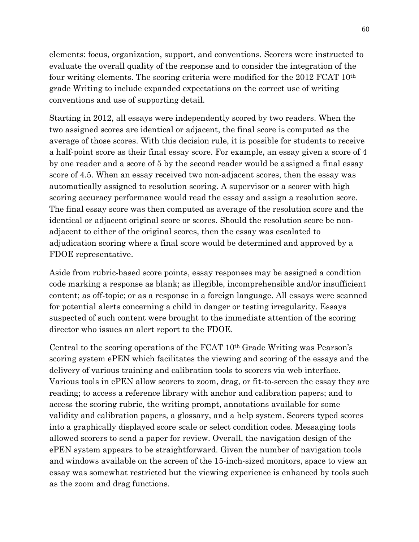elements: focus, organization, support, and conventions. Scorers were instructed to evaluate the overall quality of the response and to consider the integration of the four writing elements. The scoring criteria were modified for the 2012 FCAT 10th grade Writing to include expanded expectations on the correct use of writing conventions and use of supporting detail.

 Starting in 2012, all essays were independently scored by two readers. When the two assigned scores are identical or adjacent, the final score is computed as the average of those scores. With this decision rule, it is possible for students to receive a half-point score as their final essay score. For example, an essay given a score of 4 by one reader and a score of 5 by the second reader would be assigned a final essay score of 4.5. When an essay received two non-adjacent scores, then the essay was automatically assigned to resolution scoring. A supervisor or a scorer with high scoring accuracy performance would read the essay and assign a resolution score. The final essay score was then computed as average of the resolution score and the identical or adjacent original score or scores. Should the resolution score be non- adjacent to either of the original scores, then the essay was escalated to adjudication scoring where a final score would be determined and approved by a FDOE representative.

Aside from rubric-based score points, essay responses may be assigned a condition code marking a response as blank; as illegible, incomprehensible and/or insufficient content; as off-topic; or as a response in a foreign language. All essays were scanned for potential alerts concerning a child in danger or testing irregularity. Essays suspected of such content were brought to the immediate attention of the scoring director who issues an alert report to the FDOE.

 Central to the scoring operations of the FCAT 10th Grade Writing was Pearson's scoring system ePEN which facilitates the viewing and scoring of the essays and the delivery of various training and calibration tools to scorers via web interface. Various tools in ePEN allow scorers to zoom, drag, or fit-to-screen the essay they are reading; to access a reference library with anchor and calibration papers; and to access the scoring rubric, the writing prompt, annotations available for some validity and calibration papers, a glossary, and a help system. Scorers typed scores into a graphically displayed score scale or select condition codes. Messaging tools allowed scorers to send a paper for review. Overall, the navigation design of the ePEN system appears to be straightforward. Given the number of navigation tools and windows available on the screen of the 15-inch-sized monitors, space to view an essay was somewhat restricted but the viewing experience is enhanced by tools such as the zoom and drag functions.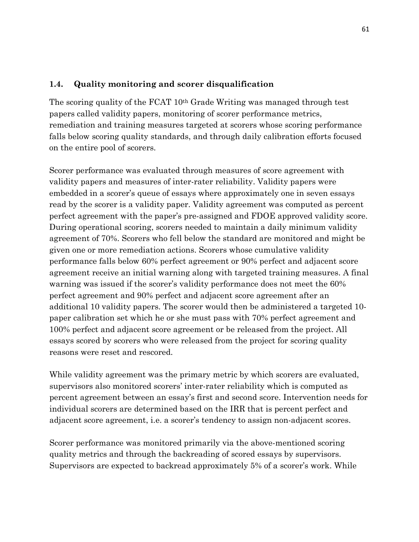## 1.4. Quality monitoring and scorer disqualification

 The scoring quality of the FCAT 10th Grade Writing was managed through test papers called validity papers, monitoring of scorer performance metrics, remediation and training measures targeted at scorers whose scoring performance falls below scoring quality standards, and through daily calibration efforts focused on the entire pool of scorers.

 Scorer performance was evaluated through measures of score agreement with validity papers and measures of inter-rater reliability. Validity papers were embedded in a scorer's queue of essays where approximately one in seven essays read by the scorer is a validity paper. Validity agreement was computed as percent perfect agreement with the paper's pre-assigned and FDOE approved validity score. During operational scoring, scorers needed to maintain a daily minimum validity agreement of 70%. Scorers who fell below the standard are monitored and might be given one or more remediation actions. Scorers whose cumulative validity performance falls below 60% perfect agreement or 90% perfect and adjacent score agreement receive an initial warning along with targeted training measures. A final warning was issued if the scorer's validity performance does not meet the 60% perfect agreement and 90% perfect and adjacent score agreement after an additional 10 validity papers. The scorer would then be administered a targeted 10 paper calibration set which he or she must pass with 70% perfect agreement and 100% perfect and adjacent score agreement or be released from the project. All essays scored by scorers who were released from the project for scoring quality reasons were reset and rescored.

 While validity agreement was the primary metric by which scorers are evaluated, supervisors also monitored scorers' inter-rater reliability which is computed as percent agreement between an essay's first and second score. Intervention needs for individual scorers are determined based on the IRR that is percent perfect and adjacent score agreement, i.e. a scorer's tendency to assign non-adjacent scores.

Scorer performance was monitored primarily via the above-mentioned scoring quality metrics and through the backreading of scored essays by supervisors. Supervisors are expected to backread approximately 5% of a scorer's work. While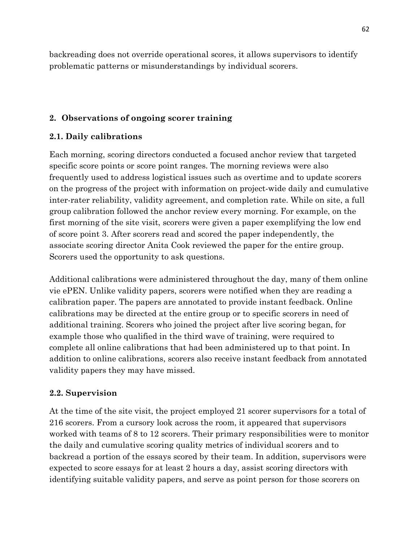backreading does not override operational scores, it allows supervisors to identify problematic patterns or misunderstandings by individual scorers.

# 2. Observations of ongoing scorer training

## 2.1. Daily calibrations

 Each morning, scoring directors conducted a focused anchor review that targeted specific score points or score point ranges. The morning reviews were also frequently used to address logistical issues such as overtime and to update scorers on the progress of the project with information on project-wide daily and cumulative inter-rater reliability, validity agreement, and completion rate. While on site, a full group calibration followed the anchor review every morning. For example, on the first morning of the site visit, scorers were given a paper exemplifying the low end of score point 3. After scorers read and scored the paper independently, the associate scoring director Anita Cook reviewed the paper for the entire group. Scorers used the opportunity to ask questions.

 Additional calibrations were administered throughout the day, many of them online vie ePEN. Unlike validity papers, scorers were notified when they are reading a calibration paper. The papers are annotated to provide instant feedback. Online calibrations may be directed at the entire group or to specific scorers in need of additional training. Scorers who joined the project after live scoring began, for example those who qualified in the third wave of training, were required to complete all online calibrations that had been administered up to that point. In addition to online calibrations, scorers also receive instant feedback from annotated validity papers they may have missed.

## 2.2. Supervision

 At the time of the site visit, the project employed 21 scorer supervisors for a total of 216 scorers. From a cursory look across the room, it appeared that supervisors worked with teams of 8 to 12 scorers. Their primary responsibilities were to monitor the daily and cumulative scoring quality metrics of individual scorers and to backread a portion of the essays scored by their team. In addition, supervisors were expected to score essays for at least 2 hours a day, assist scoring directors with identifying suitable validity papers, and serve as point person for those scorers on